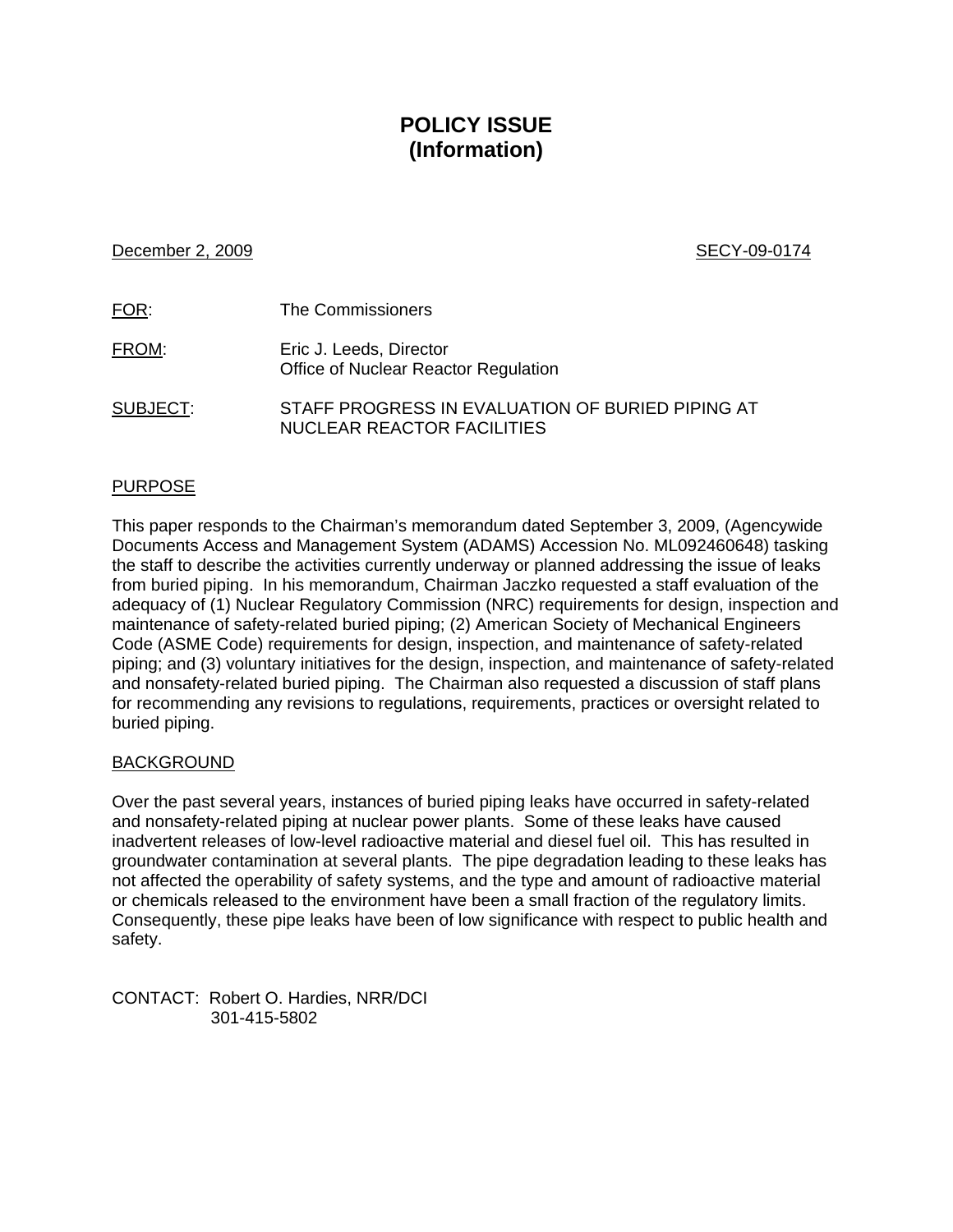# **POLICY ISSUE (Information)**

## December 2, 2009 SECY-09-0174

| <u>FOR:</u>  | The Commissioners                                                              |
|--------------|--------------------------------------------------------------------------------|
| <u>FROM:</u> | Eric J. Leeds, Director<br>Office of Nuclear Reactor Regulation                |
| SUBJECT:     | STAFF PROGRESS IN EVALUATION OF BURIED PIPING AT<br>NUCLEAR REACTOR FACILITIES |

# PURPOSE

This paper responds to the Chairman's memorandum dated September 3, 2009, (Agencywide Documents Access and Management System (ADAMS) Accession No. ML092460648) tasking the staff to describe the activities currently underway or planned addressing the issue of leaks from buried piping. In his memorandum, Chairman Jaczko requested a staff evaluation of the adequacy of (1) Nuclear Regulatory Commission (NRC) requirements for design, inspection and maintenance of safety-related buried piping; (2) American Society of Mechanical Engineers Code (ASME Code) requirements for design, inspection, and maintenance of safety-related piping; and (3) voluntary initiatives for the design, inspection, and maintenance of safety-related and nonsafety-related buried piping. The Chairman also requested a discussion of staff plans for recommending any revisions to regulations, requirements, practices or oversight related to buried piping.

# BACKGROUND

Over the past several years, instances of buried piping leaks have occurred in safety-related and nonsafety-related piping at nuclear power plants. Some of these leaks have caused inadvertent releases of low-level radioactive material and diesel fuel oil. This has resulted in groundwater contamination at several plants. The pipe degradation leading to these leaks has not affected the operability of safety systems, and the type and amount of radioactive material or chemicals released to the environment have been a small fraction of the regulatory limits. Consequently, these pipe leaks have been of low significance with respect to public health and safety.

CONTACT: Robert O. Hardies, NRR/DCI 301-415-5802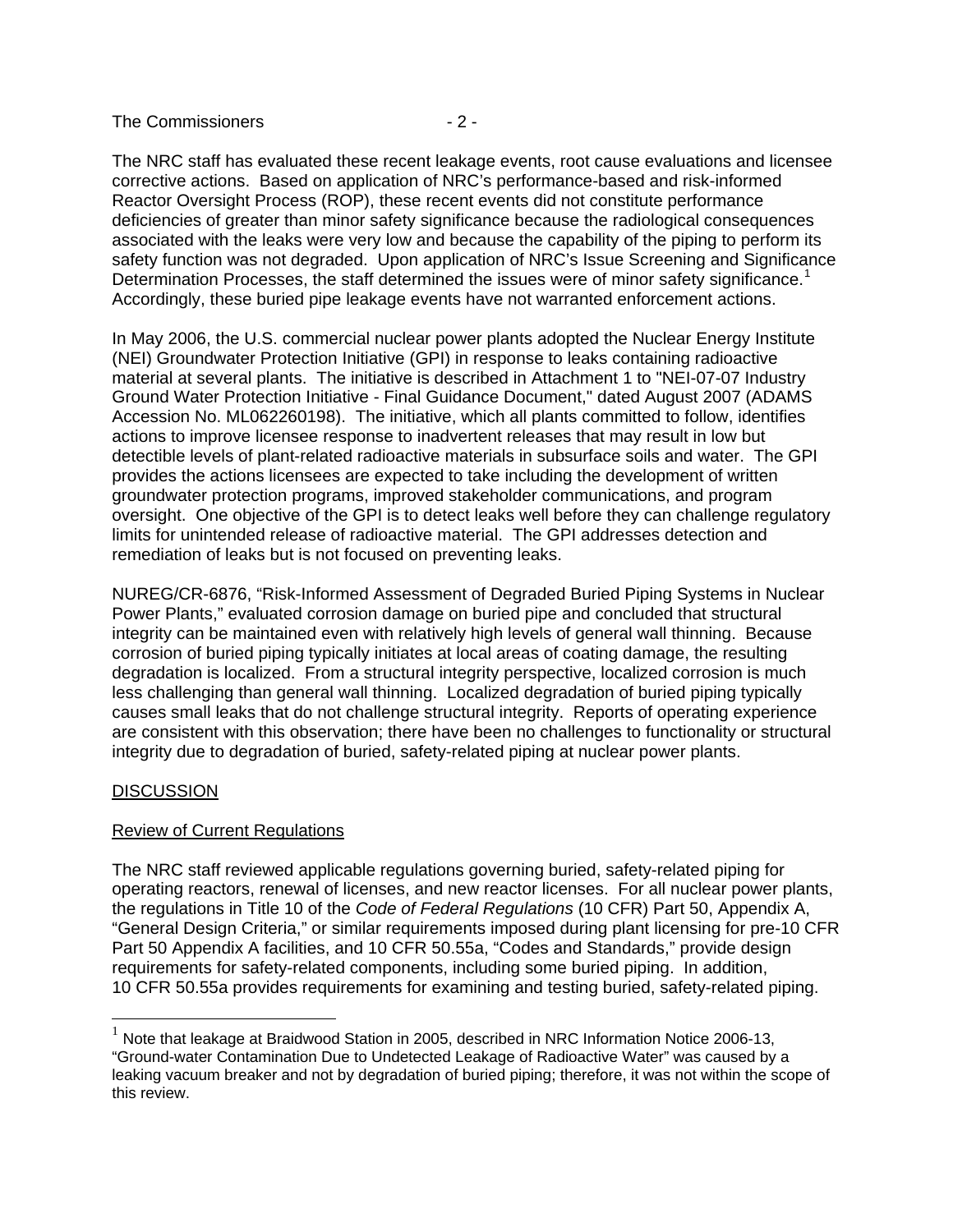The Commissioners  $-2$  -

The NRC staff has evaluated these recent leakage events, root cause evaluations and licensee corrective actions. Based on application of NRC's performance-based and risk-informed Reactor Oversight Process (ROP), these recent events did not constitute performance deficiencies of greater than minor safety significance because the radiological consequences associated with the leaks were very low and because the capability of the piping to perform its safety function was not degraded. Upon application of NRC's Issue Screening and Significance Determination Processes, the staff determined the issues were of minor safety significance.<sup>[1](#page-1-0)</sup> Accordingly, these buried pipe leakage events have not warranted enforcement actions.

In May 2006, the U.S. commercial nuclear power plants adopted the Nuclear Energy Institute (NEI) Groundwater Protection Initiative (GPI) in response to leaks containing radioactive material at several plants. The initiative is described in Attachment 1 to "NEI-07-07 Industry Ground Water Protection Initiative - Final Guidance Document," dated August 2007 (ADAMS Accession No. ML062260198). The initiative, which all plants committed to follow, identifies actions to improve licensee response to inadvertent releases that may result in low but detectible levels of plant-related radioactive materials in subsurface soils and water. The GPI provides the actions licensees are expected to take including the development of written groundwater protection programs, improved stakeholder communications, and program oversight. One objective of the GPI is to detect leaks well before they can challenge regulatory limits for unintended release of radioactive material. The GPI addresses detection and remediation of leaks but is not focused on preventing leaks.

NUREG/CR-6876, "Risk-Informed Assessment of Degraded Buried Piping Systems in Nuclear Power Plants," evaluated corrosion damage on buried pipe and concluded that structural integrity can be maintained even with relatively high levels of general wall thinning. Because corrosion of buried piping typically initiates at local areas of coating damage, the resulting degradation is localized. From a structural integrity perspective, localized corrosion is much less challenging than general wall thinning. Localized degradation of buried piping typically causes small leaks that do not challenge structural integrity. Reports of operating experience are consistent with this observation; there have been no challenges to functionality or structural integrity due to degradation of buried, safety-related piping at nuclear power plants.

# **DISCUSSION**

-

## Review of Current Regulations

The NRC staff reviewed applicable regulations governing buried, safety-related piping for operating reactors, renewal of licenses, and new reactor licenses. For all nuclear power plants, the regulations in Title 10 of the *Code of Federal Regulations* (10 CFR) Part 50, Appendix A, "General Design Criteria," or similar requirements imposed during plant licensing for pre-10 CFR Part 50 Appendix A facilities, and 10 CFR 50.55a, "Codes and Standards," provide design requirements for safety-related components, including some buried piping. In addition, 10 CFR 50.55a provides requirements for examining and testing buried, safety-related piping.

<span id="page-1-0"></span> $1$  Note that leakage at Braidwood Station in 2005, described in NRC Information Notice 2006-13, "Ground-water Contamination Due to Undetected Leakage of Radioactive Water" was caused by a leaking vacuum breaker and not by degradation of buried piping; therefore, it was not within the scope of this review.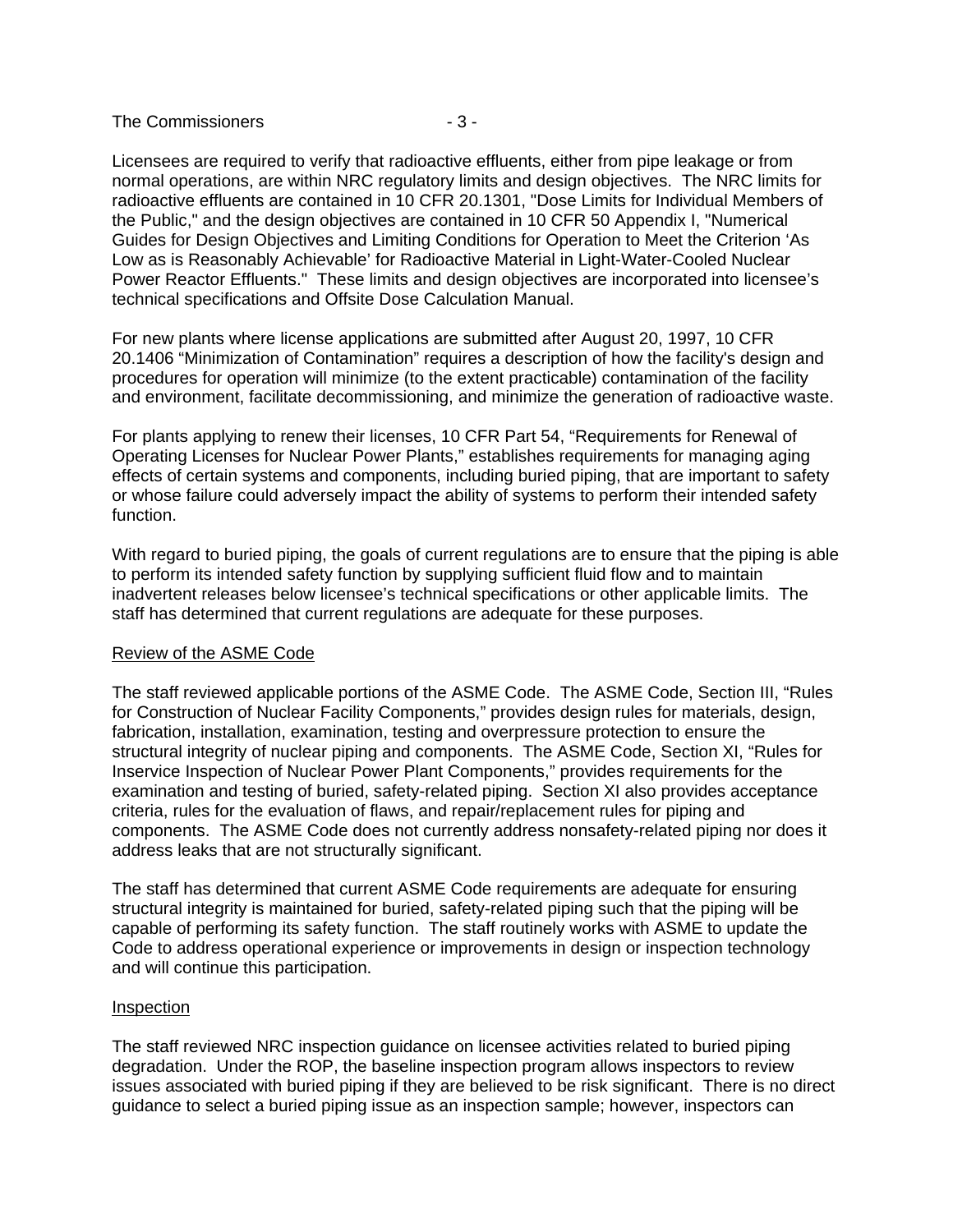#### The Commissioners **- 3 -**

Licensees are required to verify that radioactive effluents, either from pipe leakage or from normal operations, are within NRC regulatory limits and design objectives. The NRC limits for radioactive effluents are contained in 10 CFR 20.1301, "Dose Limits for Individual Members of the Public," and the design objectives are contained in 10 CFR 50 Appendix I, "Numerical Guides for Design Objectives and Limiting Conditions for Operation to Meet the Criterion 'As Low as is Reasonably Achievable' for Radioactive Material in Light-Water-Cooled Nuclear Power Reactor Effluents." These limits and design objectives are incorporated into licensee's technical specifications and Offsite Dose Calculation Manual.

For new plants where license applications are submitted after August 20, 1997, 10 CFR 20.1406 "Minimization of Contamination" requires a description of how the facility's design and procedures for operation will minimize (to the extent practicable) contamination of the facility and environment, facilitate decommissioning, and minimize the generation of radioactive waste.

For plants applying to renew their licenses, 10 CFR Part 54, "Requirements for Renewal of Operating Licenses for Nuclear Power Plants," establishes requirements for managing aging effects of certain systems and components, including buried piping, that are important to safety or whose failure could adversely impact the ability of systems to perform their intended safety function.

With regard to buried piping, the goals of current regulations are to ensure that the piping is able to perform its intended safety function by supplying sufficient fluid flow and to maintain inadvertent releases below licensee's technical specifications or other applicable limits. The staff has determined that current regulations are adequate for these purposes.

## Review of the ASME Code

The staff reviewed applicable portions of the ASME Code. The ASME Code, Section III, "Rules for Construction of Nuclear Facility Components," provides design rules for materials, design, fabrication, installation, examination, testing and overpressure protection to ensure the structural integrity of nuclear piping and components. The ASME Code, Section XI, "Rules for Inservice Inspection of Nuclear Power Plant Components," provides requirements for the examination and testing of buried, safety-related piping. Section XI also provides acceptance criteria, rules for the evaluation of flaws, and repair/replacement rules for piping and components. The ASME Code does not currently address nonsafety-related piping nor does it address leaks that are not structurally significant.

The staff has determined that current ASME Code requirements are adequate for ensuring structural integrity is maintained for buried, safety-related piping such that the piping will be capable of performing its safety function. The staff routinely works with ASME to update the Code to address operational experience or improvements in design or inspection technology and will continue this participation.

#### Inspection

The staff reviewed NRC inspection guidance on licensee activities related to buried piping degradation. Under the ROP, the baseline inspection program allows inspectors to review issues associated with buried piping if they are believed to be risk significant. There is no direct guidance to select a buried piping issue as an inspection sample; however, inspectors can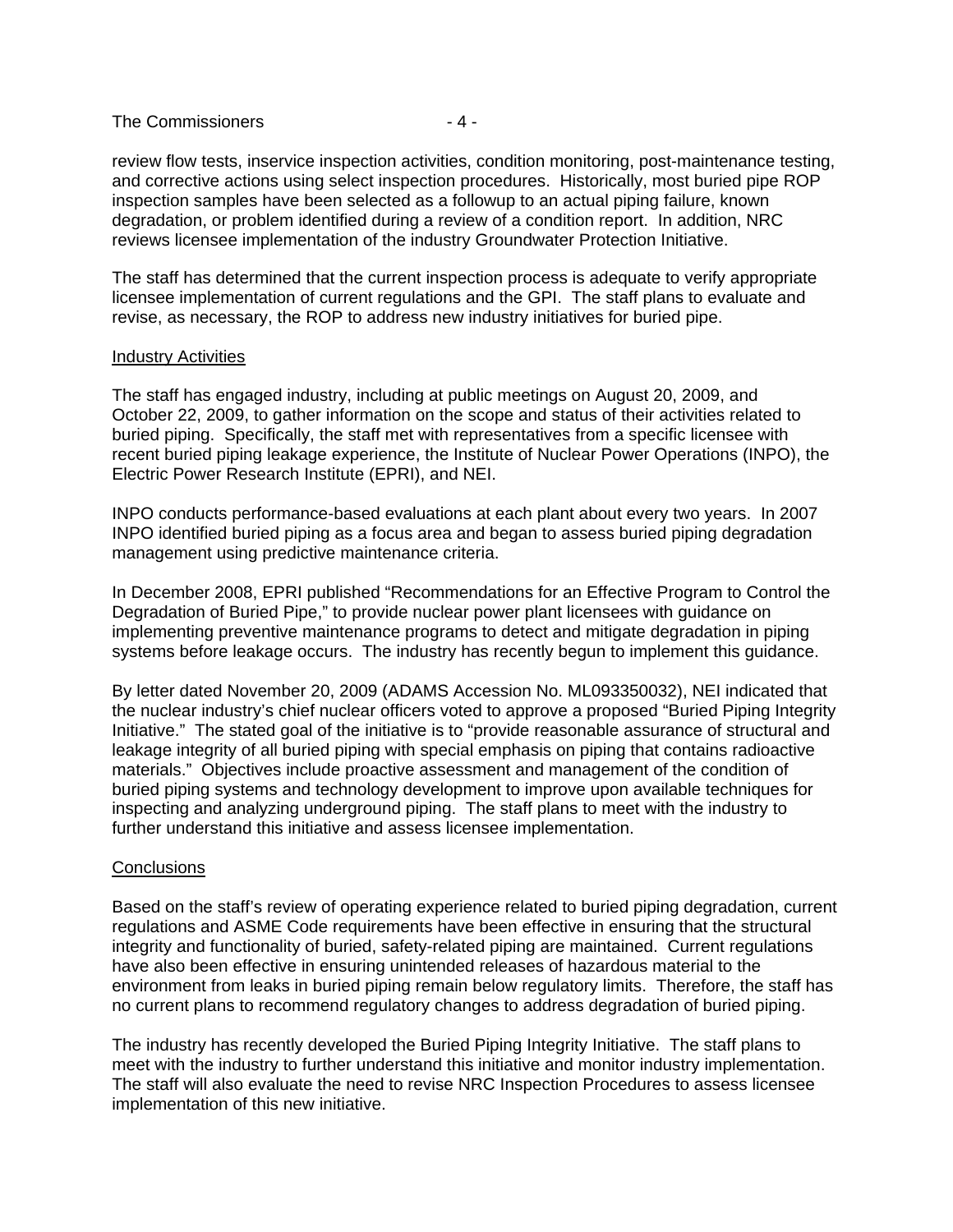#### The Commissioners  $-4-$

review flow tests, inservice inspection activities, condition monitoring, post-maintenance testing, and corrective actions using select inspection procedures. Historically, most buried pipe ROP inspection samples have been selected as a followup to an actual piping failure, known degradation, or problem identified during a review of a condition report. In addition, NRC reviews licensee implementation of the industry Groundwater Protection Initiative.

The staff has determined that the current inspection process is adequate to verify appropriate licensee implementation of current regulations and the GPI. The staff plans to evaluate and revise, as necessary, the ROP to address new industry initiatives for buried pipe.

## Industry Activities

The staff has engaged industry, including at public meetings on August 20, 2009, and October 22, 2009, to gather information on the scope and status of their activities related to buried piping. Specifically, the staff met with representatives from a specific licensee with recent buried piping leakage experience, the Institute of Nuclear Power Operations (INPO), the Electric Power Research Institute (EPRI), and NEI.

INPO conducts performance-based evaluations at each plant about every two years. In 2007 INPO identified buried piping as a focus area and began to assess buried piping degradation management using predictive maintenance criteria.

In December 2008, EPRI published "Recommendations for an Effective Program to Control the Degradation of Buried Pipe," to provide nuclear power plant licensees with guidance on implementing preventive maintenance programs to detect and mitigate degradation in piping systems before leakage occurs. The industry has recently begun to implement this guidance.

By letter dated November 20, 2009 (ADAMS Accession No. ML093350032), NEI indicated that the nuclear industry's chief nuclear officers voted to approve a proposed "Buried Piping Integrity Initiative." The stated goal of the initiative is to "provide reasonable assurance of structural and leakage integrity of all buried piping with special emphasis on piping that contains radioactive materials." Objectives include proactive assessment and management of the condition of buried piping systems and technology development to improve upon available techniques for inspecting and analyzing underground piping. The staff plans to meet with the industry to further understand this initiative and assess licensee implementation.

## **Conclusions**

Based on the staff's review of operating experience related to buried piping degradation, current regulations and ASME Code requirements have been effective in ensuring that the structural integrity and functionality of buried, safety-related piping are maintained. Current regulations have also been effective in ensuring unintended releases of hazardous material to the environment from leaks in buried piping remain below regulatory limits. Therefore, the staff has no current plans to recommend regulatory changes to address degradation of buried piping.

The industry has recently developed the Buried Piping Integrity Initiative. The staff plans to meet with the industry to further understand this initiative and monitor industry implementation. The staff will also evaluate the need to revise NRC Inspection Procedures to assess licensee implementation of this new initiative.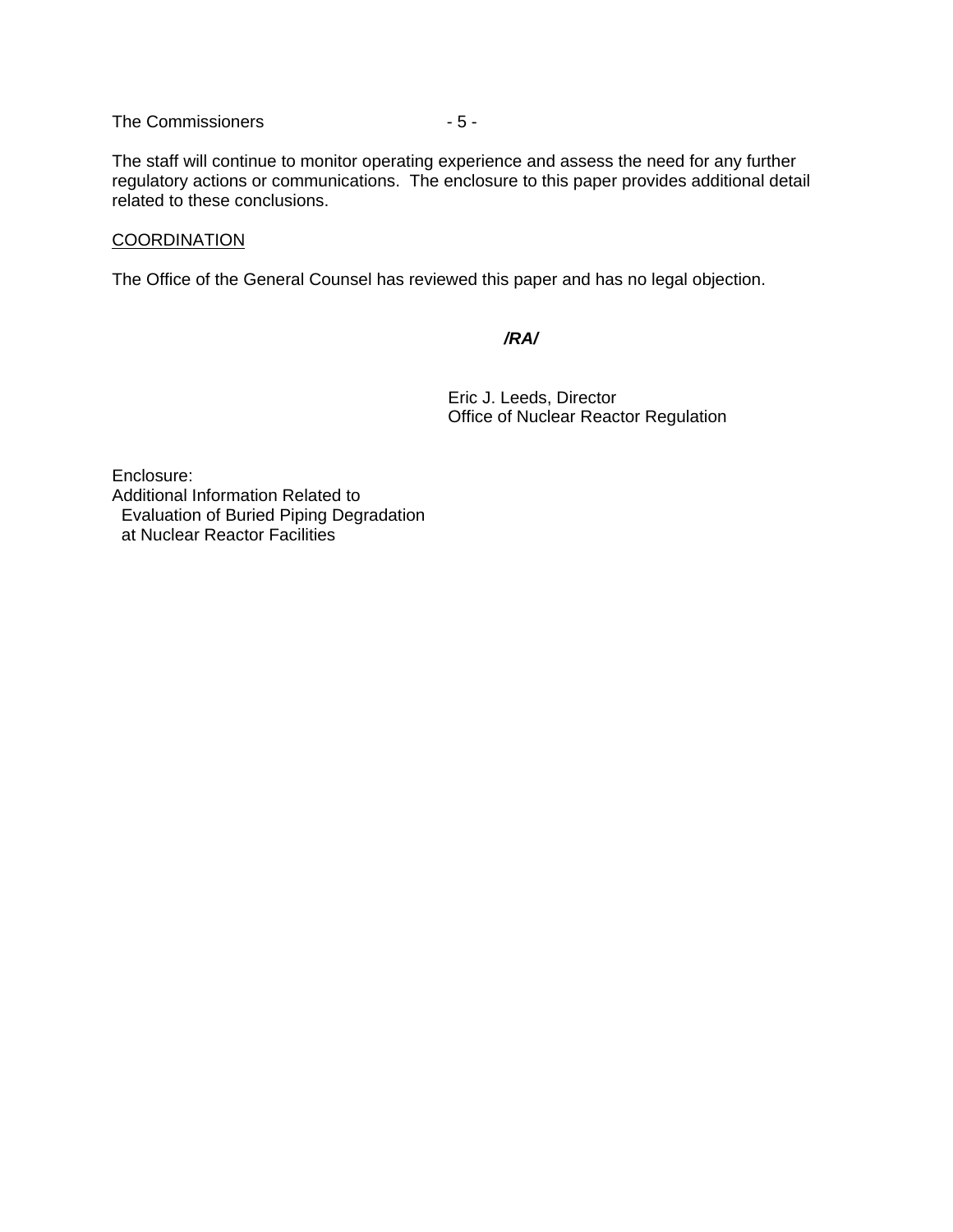The Commissioners  $-5-$ 

The staff will continue to monitor operating experience and assess the need for any further regulatory actions or communications. The enclosure to this paper provides additional detail related to these conclusions.

## **COORDINATION**

The Office of the General Counsel has reviewed this paper and has no legal objection.

#### */RA/*

Eric J. Leeds, Director Office of Nuclear Reactor Regulation

Enclosure: Additional Information Related to Evaluation of Buried Piping Degradation at Nuclear Reactor Facilities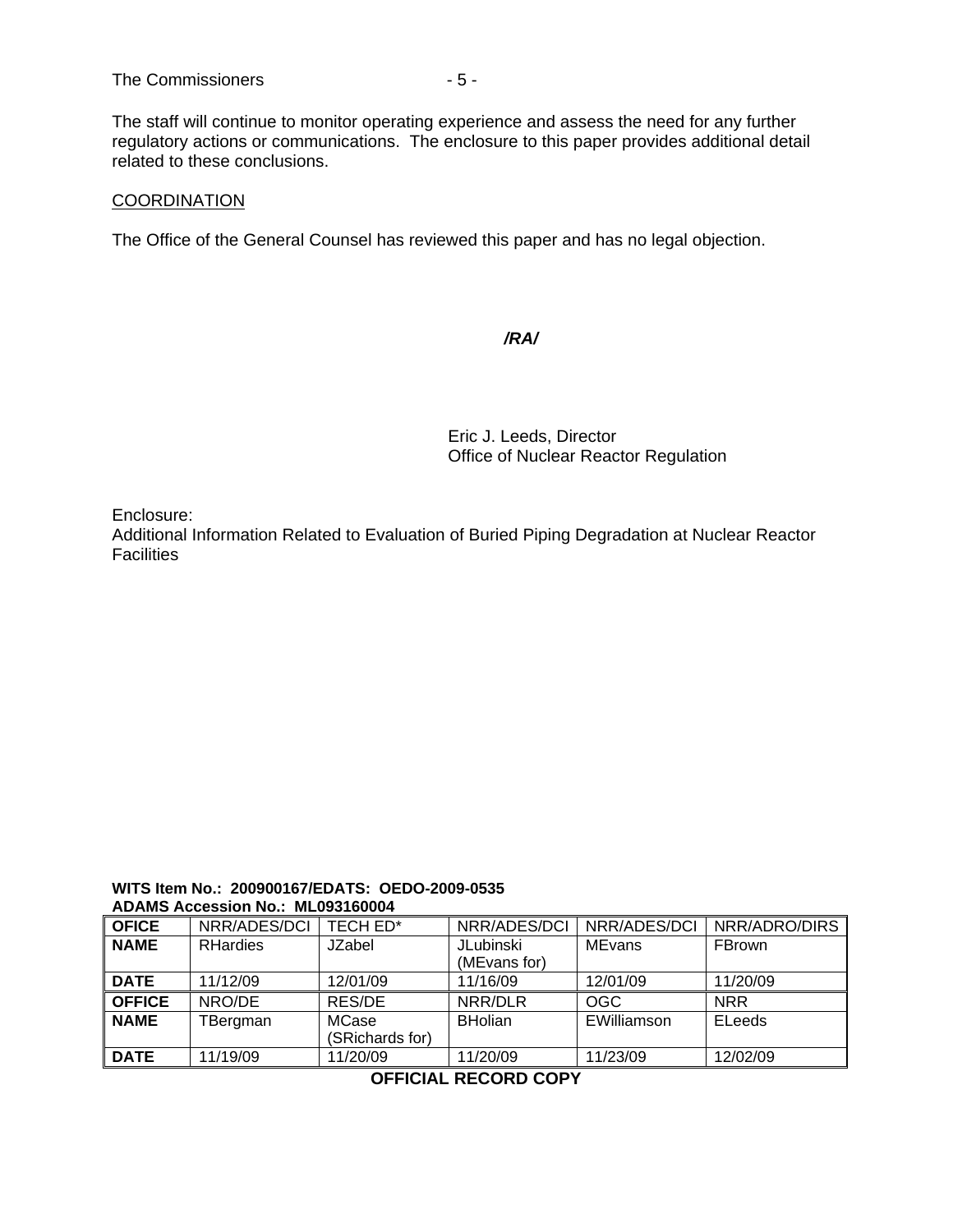The staff will continue to monitor operating experience and assess the need for any further regulatory actions or communications. The enclosure to this paper provides additional detail related to these conclusions.

# **COORDINATION**

The Office of the General Counsel has reviewed this paper and has no legal objection.

#### */RA/*

**Eric J. Leeds, Director** Office of Nuclear Reactor Regulation

Enclosure:

Additional Information Related to Evaluation of Buried Piping Degradation at Nuclear Reactor Facilities

#### **WITS Item No.: 200900167/EDATS: OEDO-2009-0535 ADAMS Accession No.: ML093160004**

| <b>OFICE</b>  | NRR/ADES/DCI    | TECH ED*                        | NRR/ADES/DCI     | NRR/ADES/DCI  | NRR/ADRO/DIRS |
|---------------|-----------------|---------------------------------|------------------|---------------|---------------|
| <b>NAME</b>   | <b>RHardies</b> | JZabel                          | <b>JLubinski</b> | <b>MEvans</b> | FBrown        |
|               |                 |                                 | (MEvans for)     |               |               |
| <b>DATE</b>   | 11/12/09        | 12/01/09                        | 11/16/09         | 12/01/09      | 11/20/09      |
| <b>OFFICE</b> | NRO/DE          | RES/DE                          | NRR/DLR          | <b>OGC</b>    | <b>NRR</b>    |
| <b>NAME</b>   | TBergman        | <b>MCase</b><br>(SRichards for) | <b>BHolian</b>   | EWilliamson   | ELeeds        |
|               |                 |                                 |                  |               |               |
| <b>DATE</b>   | 11/19/09        | 11/20/09                        | 11/20/09         | 11/23/09      | 12/02/09      |

**OFFICIAL RECORD COPY**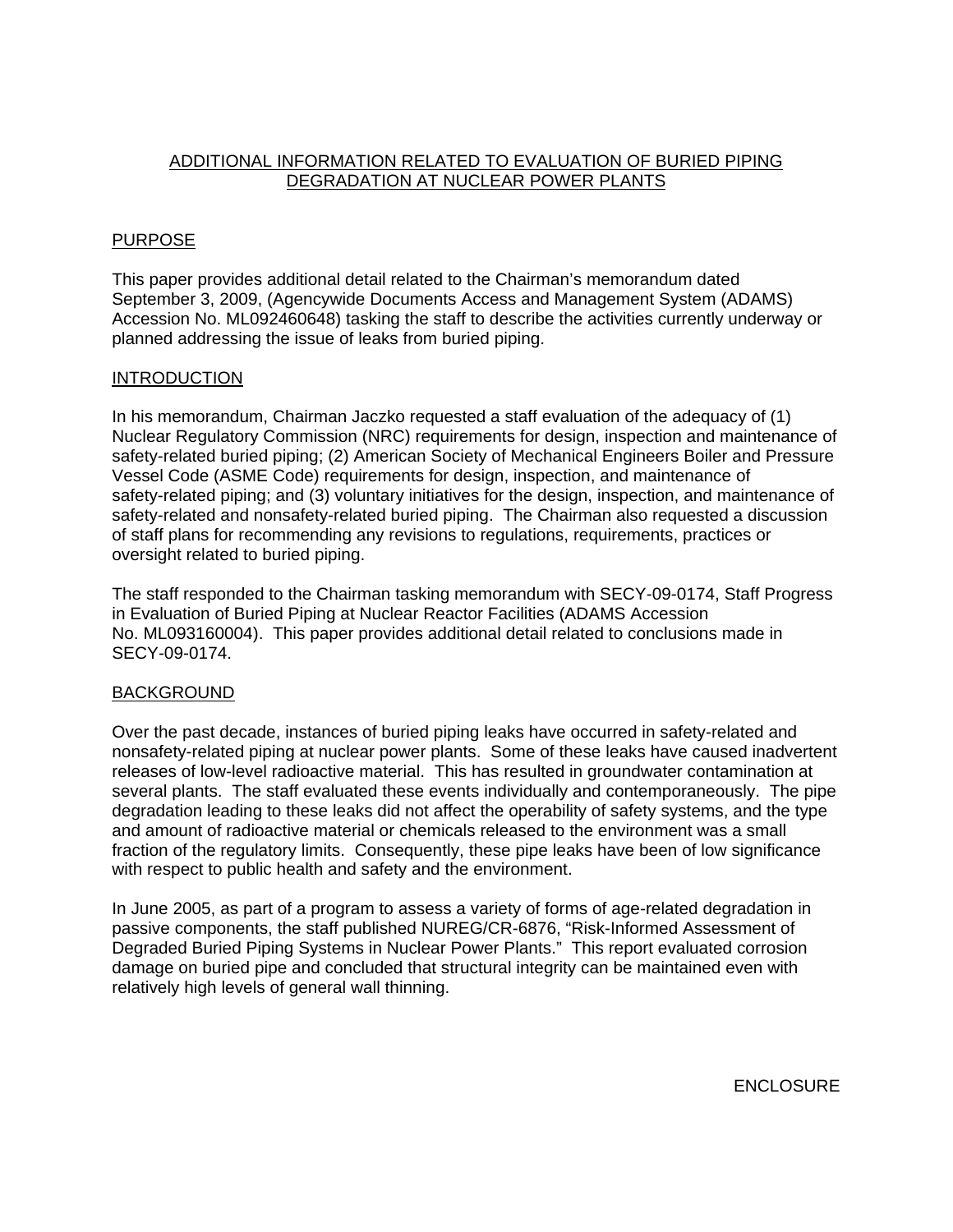# ADDITIONAL INFORMATION RELATED TO EVALUATION OF BURIED PIPING DEGRADATION AT NUCLEAR POWER PLANTS

# PURPOSE

This paper provides additional detail related to the Chairman's memorandum dated September 3, 2009, (Agencywide Documents Access and Management System (ADAMS) Accession No. ML092460648) tasking the staff to describe the activities currently underway or planned addressing the issue of leaks from buried piping.

# INTRODUCTION

In his memorandum, Chairman Jaczko requested a staff evaluation of the adequacy of (1) Nuclear Regulatory Commission (NRC) requirements for design, inspection and maintenance of safety-related buried piping; (2) American Society of Mechanical Engineers Boiler and Pressure Vessel Code (ASME Code) requirements for design, inspection, and maintenance of safety-related piping; and (3) voluntary initiatives for the design, inspection, and maintenance of safety-related and nonsafety-related buried piping. The Chairman also requested a discussion of staff plans for recommending any revisions to regulations, requirements, practices or oversight related to buried piping.

The staff responded to the Chairman tasking memorandum with SECY-09-0174, Staff Progress in Evaluation of Buried Piping at Nuclear Reactor Facilities (ADAMS Accession No. ML093160004). This paper provides additional detail related to conclusions made in SECY-09-0174.

# BACKGROUND

Over the past decade, instances of buried piping leaks have occurred in safety-related and nonsafety-related piping at nuclear power plants. Some of these leaks have caused inadvertent releases of low-level radioactive material. This has resulted in groundwater contamination at several plants. The staff evaluated these events individually and contemporaneously. The pipe degradation leading to these leaks did not affect the operability of safety systems, and the type and amount of radioactive material or chemicals released to the environment was a small fraction of the regulatory limits. Consequently, these pipe leaks have been of low significance with respect to public health and safety and the environment.

In June 2005, as part of a program to assess a variety of forms of age-related degradation in passive components, the staff published NUREG/CR-6876, "Risk-Informed Assessment of Degraded Buried Piping Systems in Nuclear Power Plants." This report evaluated corrosion damage on buried pipe and concluded that structural integrity can be maintained even with relatively high levels of general wall thinning.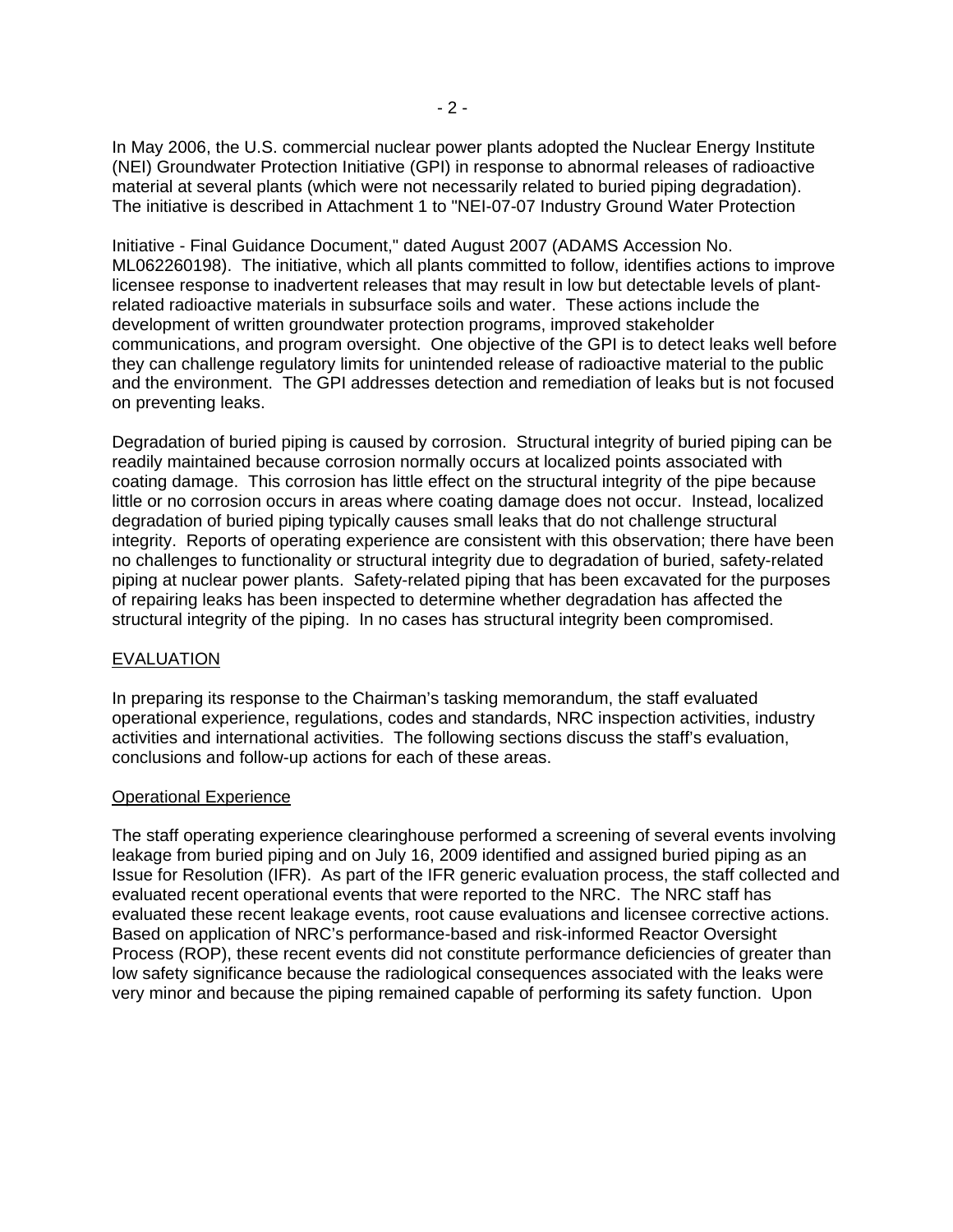In May 2006, the U.S. commercial nuclear power plants adopted the Nuclear Energy Institute (NEI) Groundwater Protection Initiative (GPI) in response to abnormal releases of radioactive material at several plants (which were not necessarily related to buried piping degradation). The initiative is described in Attachment 1 to "NEI-07-07 Industry Ground Water Protection

Initiative - Final Guidance Document," dated August 2007 (ADAMS Accession No. ML062260198). The initiative, which all plants committed to follow, identifies actions to improve licensee response to inadvertent releases that may result in low but detectable levels of plantrelated radioactive materials in subsurface soils and water. These actions include the development of written groundwater protection programs, improved stakeholder communications, and program oversight. One objective of the GPI is to detect leaks well before they can challenge regulatory limits for unintended release of radioactive material to the public and the environment. The GPI addresses detection and remediation of leaks but is not focused on preventing leaks.

Degradation of buried piping is caused by corrosion. Structural integrity of buried piping can be readily maintained because corrosion normally occurs at localized points associated with coating damage. This corrosion has little effect on the structural integrity of the pipe because little or no corrosion occurs in areas where coating damage does not occur. Instead, localized degradation of buried piping typically causes small leaks that do not challenge structural integrity. Reports of operating experience are consistent with this observation; there have been no challenges to functionality or structural integrity due to degradation of buried, safety-related piping at nuclear power plants. Safety-related piping that has been excavated for the purposes of repairing leaks has been inspected to determine whether degradation has affected the structural integrity of the piping. In no cases has structural integrity been compromised.

## **EVALUATION**

In preparing its response to the Chairman's tasking memorandum, the staff evaluated operational experience, regulations, codes and standards, NRC inspection activities, industry activities and international activities. The following sections discuss the staff's evaluation, conclusions and follow-up actions for each of these areas.

## Operational Experience

The staff operating experience clearinghouse performed a screening of several events involving leakage from buried piping and on July 16, 2009 identified and assigned buried piping as an Issue for Resolution (IFR). As part of the IFR generic evaluation process, the staff collected and evaluated recent operational events that were reported to the NRC. The NRC staff has evaluated these recent leakage events, root cause evaluations and licensee corrective actions. Based on application of NRC's performance-based and risk-informed Reactor Oversight Process (ROP), these recent events did not constitute performance deficiencies of greater than low safety significance because the radiological consequences associated with the leaks were very minor and because the piping remained capable of performing its safety function. Upon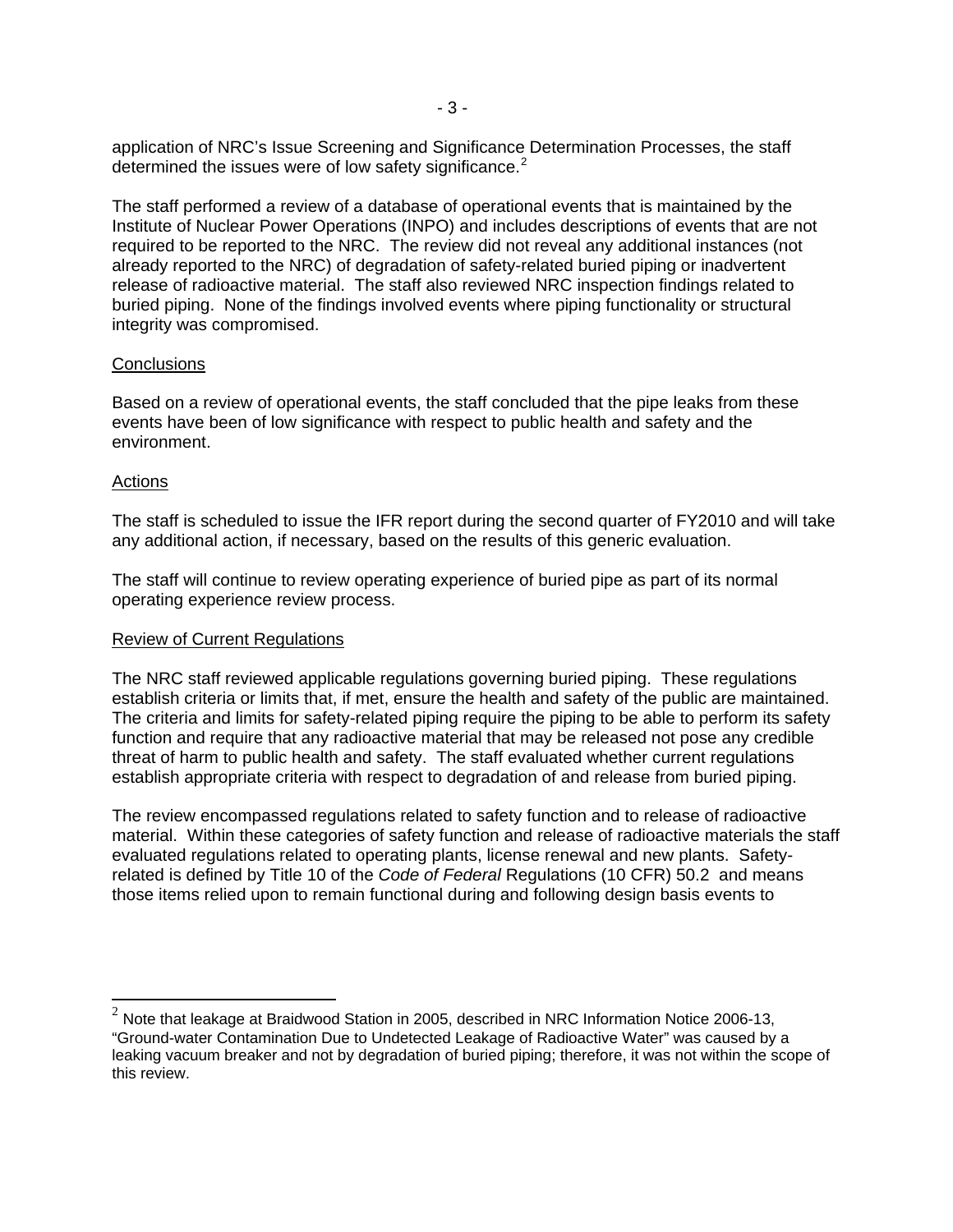application of NRC's Issue Screening and Significance Determination Processes, the staff determined the issues were of low safety significance.<sup>[2](#page-8-0)</sup>

The staff performed a review of a database of operational events that is maintained by the Institute of Nuclear Power Operations (INPO) and includes descriptions of events that are not required to be reported to the NRC. The review did not reveal any additional instances (not already reported to the NRC) of degradation of safety-related buried piping or inadvertent release of radioactive material. The staff also reviewed NRC inspection findings related to buried piping. None of the findings involved events where piping functionality or structural integrity was compromised.

#### **Conclusions**

Based on a review of operational events, the staff concluded that the pipe leaks from these events have been of low significance with respect to public health and safety and the environment.

#### Actions

 $\overline{a}$ 

The staff is scheduled to issue the IFR report during the second quarter of FY2010 and will take any additional action, if necessary, based on the results of this generic evaluation.

The staff will continue to review operating experience of buried pipe as part of its normal operating experience review process.

## Review of Current Regulations

The NRC staff reviewed applicable regulations governing buried piping. These regulations establish criteria or limits that, if met, ensure the health and safety of the public are maintained. The criteria and limits for safety-related piping require the piping to be able to perform its safety function and require that any radioactive material that may be released not pose any credible threat of harm to public health and safety. The staff evaluated whether current regulations establish appropriate criteria with respect to degradation of and release from buried piping.

The review encompassed regulations related to safety function and to release of radioactive material. Within these categories of safety function and release of radioactive materials the staff evaluated regulations related to operating plants, license renewal and new plants. Safetyrelated is defined by Title 10 of the *Code of Federal* Regulations (10 CFR) 50.2 and means those items relied upon to remain functional during and following design basis events to

<span id="page-8-0"></span> $2$  Note that leakage at Braidwood Station in 2005, described in NRC Information Notice 2006-13, "Ground-water Contamination Due to Undetected Leakage of Radioactive Water" was caused by a leaking vacuum breaker and not by degradation of buried piping; therefore, it was not within the scope of this review.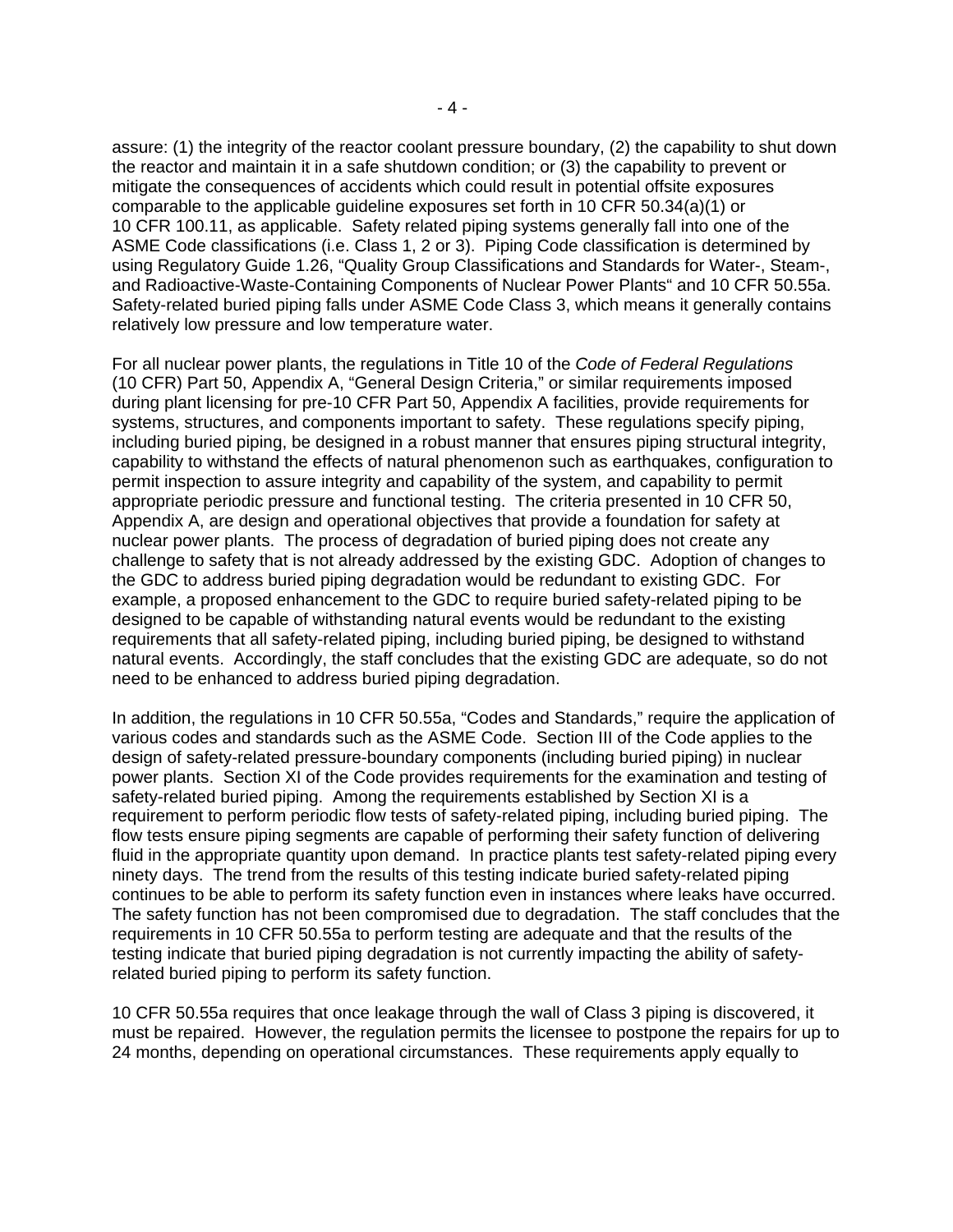assure: (1) the integrity of the reactor coolant pressure boundary, (2) the capability to shut down the reactor and maintain it in a safe shutdown condition; or (3) the capability to prevent or mitigate the consequences of accidents which could result in potential offsite exposures comparable to the applicable guideline exposures set forth in 10 CFR 50.34(a)(1) or 10 CFR 100.11, as applicable. Safety related piping systems generally fall into one of the ASME Code classifications (i.e. Class 1, 2 or 3). Piping Code classification is determined by using Regulatory Guide 1.26, "Quality Group Classifications and Standards for Water-, Steam-, and Radioactive-Waste-Containing Components of Nuclear Power Plants" and 10 CFR 50.55a. Safety-related buried piping falls under ASME Code Class 3, which means it generally contains relatively low pressure and low temperature water.

For all nuclear power plants, the regulations in Title 10 of the *Code of Federal Regulations* (10 CFR) Part 50, Appendix A, "General Design Criteria," or similar requirements imposed during plant licensing for pre-10 CFR Part 50, Appendix A facilities, provide requirements for systems, structures, and components important to safety. These regulations specify piping, including buried piping, be designed in a robust manner that ensures piping structural integrity, capability to withstand the effects of natural phenomenon such as earthquakes, configuration to permit inspection to assure integrity and capability of the system, and capability to permit appropriate periodic pressure and functional testing. The criteria presented in 10 CFR 50, Appendix A, are design and operational objectives that provide a foundation for safety at nuclear power plants. The process of degradation of buried piping does not create any challenge to safety that is not already addressed by the existing GDC. Adoption of changes to the GDC to address buried piping degradation would be redundant to existing GDC. For example, a proposed enhancement to the GDC to require buried safety-related piping to be designed to be capable of withstanding natural events would be redundant to the existing requirements that all safety-related piping, including buried piping, be designed to withstand natural events. Accordingly, the staff concludes that the existing GDC are adequate, so do not need to be enhanced to address buried piping degradation.

In addition, the regulations in 10 CFR 50.55a, "Codes and Standards," require the application of various codes and standards such as the ASME Code. Section III of the Code applies to the design of safety-related pressure-boundary components (including buried piping) in nuclear power plants. Section XI of the Code provides requirements for the examination and testing of safety-related buried piping. Among the requirements established by Section XI is a requirement to perform periodic flow tests of safety-related piping, including buried piping. The flow tests ensure piping segments are capable of performing their safety function of delivering fluid in the appropriate quantity upon demand. In practice plants test safety-related piping every ninety days. The trend from the results of this testing indicate buried safety-related piping continues to be able to perform its safety function even in instances where leaks have occurred. The safety function has not been compromised due to degradation. The staff concludes that the requirements in 10 CFR 50.55a to perform testing are adequate and that the results of the testing indicate that buried piping degradation is not currently impacting the ability of safetyrelated buried piping to perform its safety function.

10 CFR 50.55a requires that once leakage through the wall of Class 3 piping is discovered, it must be repaired. However, the regulation permits the licensee to postpone the repairs for up to 24 months, depending on operational circumstances. These requirements apply equally to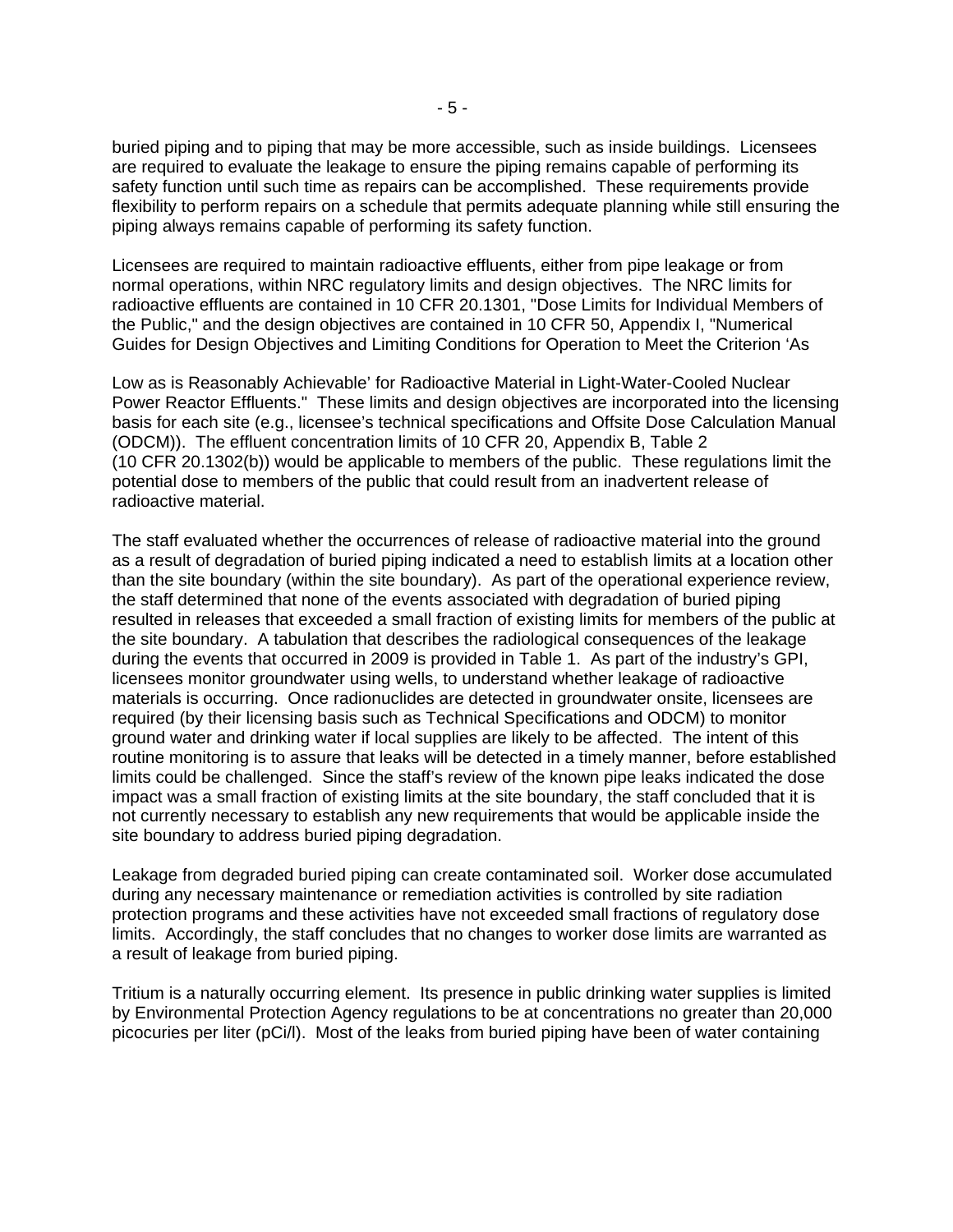buried piping and to piping that may be more accessible, such as inside buildings. Licensees are required to evaluate the leakage to ensure the piping remains capable of performing its safety function until such time as repairs can be accomplished. These requirements provide flexibility to perform repairs on a schedule that permits adequate planning while still ensuring the piping always remains capable of performing its safety function.

Licensees are required to maintain radioactive effluents, either from pipe leakage or from normal operations, within NRC regulatory limits and design objectives. The NRC limits for radioactive effluents are contained in 10 CFR 20.1301, "Dose Limits for Individual Members of the Public," and the design objectives are contained in 10 CFR 50, Appendix I, "Numerical Guides for Design Objectives and Limiting Conditions for Operation to Meet the Criterion 'As

Low as is Reasonably Achievable' for Radioactive Material in Light-Water-Cooled Nuclear Power Reactor Effluents." These limits and design objectives are incorporated into the licensing basis for each site (e.g., licensee's technical specifications and Offsite Dose Calculation Manual (ODCM)). The effluent concentration limits of 10 CFR 20, Appendix B, Table 2 (10 CFR 20.1302(b)) would be applicable to members of the public. These regulations limit the potential dose to members of the public that could result from an inadvertent release of radioactive material.

The staff evaluated whether the occurrences of release of radioactive material into the ground as a result of degradation of buried piping indicated a need to establish limits at a location other than the site boundary (within the site boundary). As part of the operational experience review, the staff determined that none of the events associated with degradation of buried piping resulted in releases that exceeded a small fraction of existing limits for members of the public at the site boundary. A tabulation that describes the radiological consequences of the leakage during the events that occurred in 2009 is provided in Table 1. As part of the industry's GPI, licensees monitor groundwater using wells, to understand whether leakage of radioactive materials is occurring. Once radionuclides are detected in groundwater onsite, licensees are required (by their licensing basis such as Technical Specifications and ODCM) to monitor ground water and drinking water if local supplies are likely to be affected. The intent of this routine monitoring is to assure that leaks will be detected in a timely manner, before established limits could be challenged. Since the staff's review of the known pipe leaks indicated the dose impact was a small fraction of existing limits at the site boundary, the staff concluded that it is not currently necessary to establish any new requirements that would be applicable inside the site boundary to address buried piping degradation.

Leakage from degraded buried piping can create contaminated soil. Worker dose accumulated during any necessary maintenance or remediation activities is controlled by site radiation protection programs and these activities have not exceeded small fractions of regulatory dose limits. Accordingly, the staff concludes that no changes to worker dose limits are warranted as a result of leakage from buried piping.

Tritium is a naturally occurring element. Its presence in public drinking water supplies is limited by Environmental Protection Agency regulations to be at concentrations no greater than 20,000 picocuries per liter (pCi/l). Most of the leaks from buried piping have been of water containing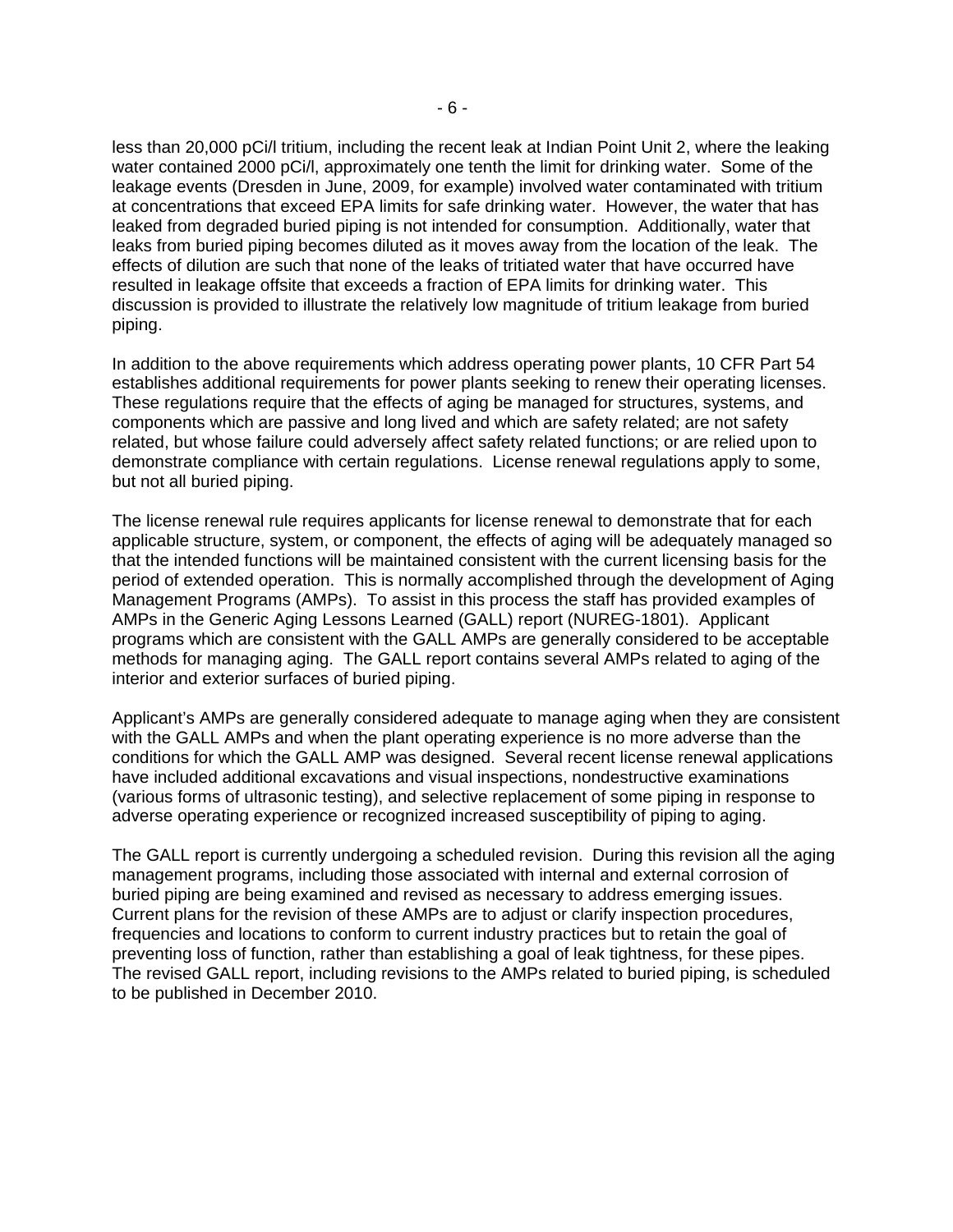less than 20,000 pCi/l tritium, including the recent leak at Indian Point Unit 2, where the leaking water contained 2000 pCi/l, approximately one tenth the limit for drinking water. Some of the leakage events (Dresden in June, 2009, for example) involved water contaminated with tritium at concentrations that exceed EPA limits for safe drinking water. However, the water that has leaked from degraded buried piping is not intended for consumption. Additionally, water that leaks from buried piping becomes diluted as it moves away from the location of the leak. The effects of dilution are such that none of the leaks of tritiated water that have occurred have resulted in leakage offsite that exceeds a fraction of EPA limits for drinking water. This discussion is provided to illustrate the relatively low magnitude of tritium leakage from buried piping.

In addition to the above requirements which address operating power plants, 10 CFR Part 54 establishes additional requirements for power plants seeking to renew their operating licenses. These regulations require that the effects of aging be managed for structures, systems, and components which are passive and long lived and which are safety related; are not safety related, but whose failure could adversely affect safety related functions; or are relied upon to demonstrate compliance with certain regulations. License renewal regulations apply to some, but not all buried piping.

The license renewal rule requires applicants for license renewal to demonstrate that for each applicable structure, system, or component, the effects of aging will be adequately managed so that the intended functions will be maintained consistent with the current licensing basis for the period of extended operation. This is normally accomplished through the development of Aging Management Programs (AMPs). To assist in this process the staff has provided examples of AMPs in the Generic Aging Lessons Learned (GALL) report (NUREG-1801). Applicant programs which are consistent with the GALL AMPs are generally considered to be acceptable methods for managing aging. The GALL report contains several AMPs related to aging of the interior and exterior surfaces of buried piping.

Applicant's AMPs are generally considered adequate to manage aging when they are consistent with the GALL AMPs and when the plant operating experience is no more adverse than the conditions for which the GALL AMP was designed. Several recent license renewal applications have included additional excavations and visual inspections, nondestructive examinations (various forms of ultrasonic testing), and selective replacement of some piping in response to adverse operating experience or recognized increased susceptibility of piping to aging.

The GALL report is currently undergoing a scheduled revision. During this revision all the aging management programs, including those associated with internal and external corrosion of buried piping are being examined and revised as necessary to address emerging issues. Current plans for the revision of these AMPs are to adjust or clarify inspection procedures, frequencies and locations to conform to current industry practices but to retain the goal of preventing loss of function, rather than establishing a goal of leak tightness, for these pipes. The revised GALL report, including revisions to the AMPs related to buried piping, is scheduled to be published in December 2010.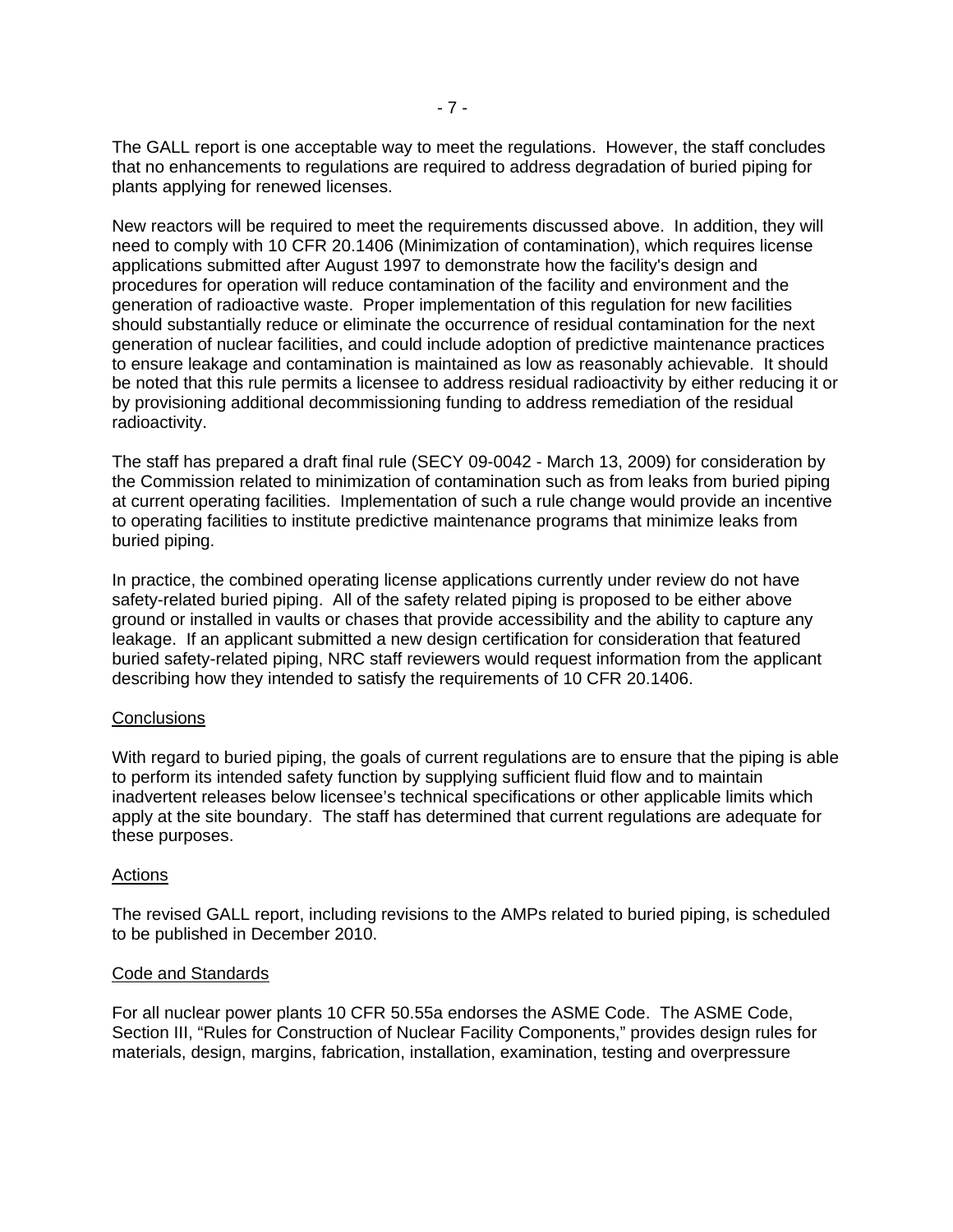The GALL report is one acceptable way to meet the regulations. However, the staff concludes that no enhancements to regulations are required to address degradation of buried piping for plants applying for renewed licenses.

New reactors will be required to meet the requirements discussed above. In addition, they will need to comply with 10 CFR 20.1406 (Minimization of contamination), which requires license applications submitted after August 1997 to demonstrate how the facility's design and procedures for operation will reduce contamination of the facility and environment and the generation of radioactive waste. Proper implementation of this regulation for new facilities should substantially reduce or eliminate the occurrence of residual contamination for the next generation of nuclear facilities, and could include adoption of predictive maintenance practices to ensure leakage and contamination is maintained as low as reasonably achievable. It should be noted that this rule permits a licensee to address residual radioactivity by either reducing it or by provisioning additional decommissioning funding to address remediation of the residual radioactivity.

The staff has prepared a draft final rule (SECY 09-0042 - March 13, 2009) for consideration by the Commission related to minimization of contamination such as from leaks from buried piping at current operating facilities. Implementation of such a rule change would provide an incentive to operating facilities to institute predictive maintenance programs that minimize leaks from buried piping.

In practice, the combined operating license applications currently under review do not have safety-related buried piping. All of the safety related piping is proposed to be either above ground or installed in vaults or chases that provide accessibility and the ability to capture any leakage. If an applicant submitted a new design certification for consideration that featured buried safety-related piping, NRC staff reviewers would request information from the applicant describing how they intended to satisfy the requirements of 10 CFR 20.1406.

## **Conclusions**

With regard to buried piping, the goals of current regulations are to ensure that the piping is able to perform its intended safety function by supplying sufficient fluid flow and to maintain inadvertent releases below licensee's technical specifications or other applicable limits which apply at the site boundary. The staff has determined that current regulations are adequate for these purposes.

#### Actions

The revised GALL report, including revisions to the AMPs related to buried piping, is scheduled to be published in December 2010.

#### Code and Standards

For all nuclear power plants 10 CFR 50.55a endorses the ASME Code. The ASME Code, Section III, "Rules for Construction of Nuclear Facility Components," provides design rules for materials, design, margins, fabrication, installation, examination, testing and overpressure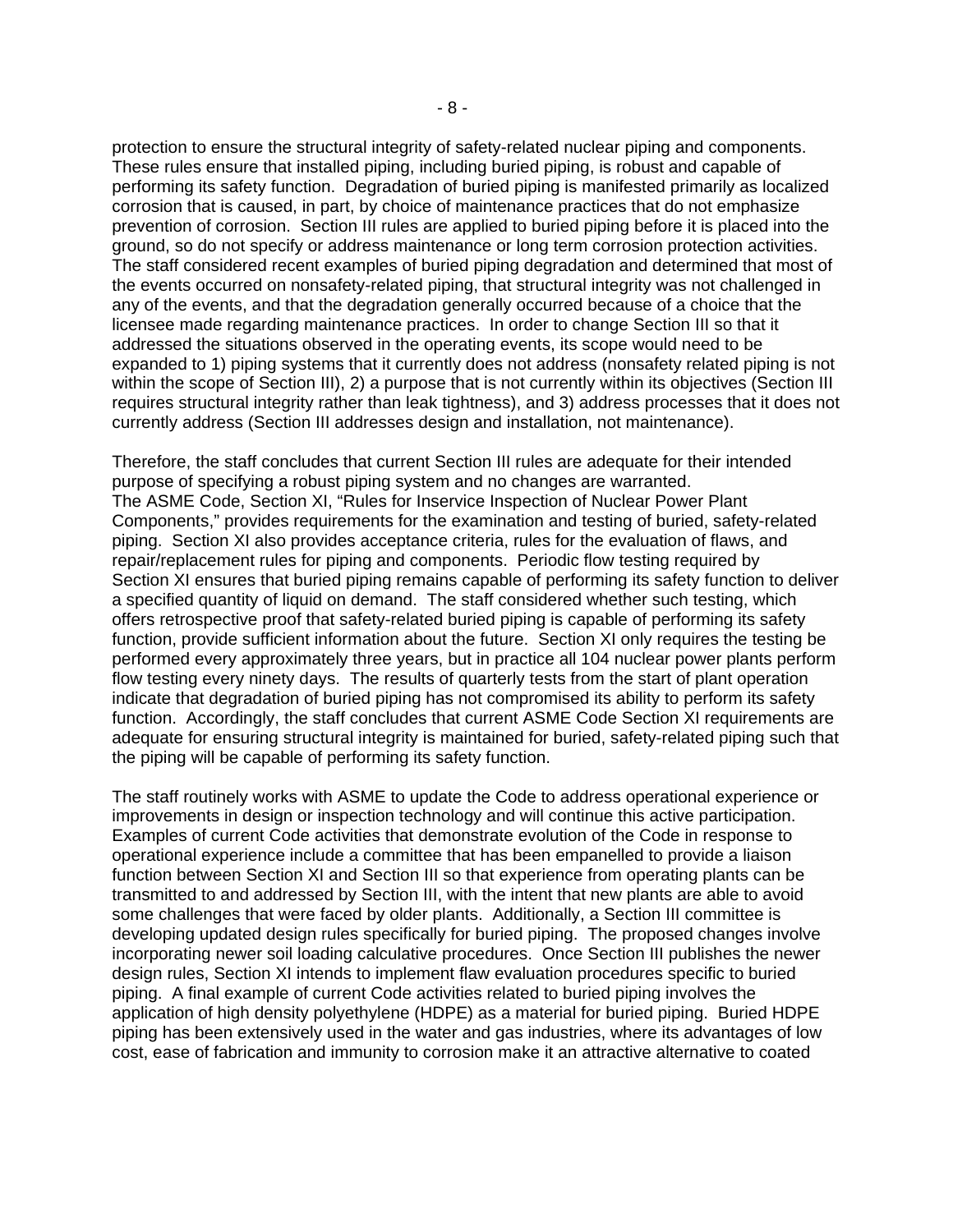protection to ensure the structural integrity of safety-related nuclear piping and components. These rules ensure that installed piping, including buried piping, is robust and capable of performing its safety function. Degradation of buried piping is manifested primarily as localized corrosion that is caused, in part, by choice of maintenance practices that do not emphasize prevention of corrosion. Section III rules are applied to buried piping before it is placed into the ground, so do not specify or address maintenance or long term corrosion protection activities. The staff considered recent examples of buried piping degradation and determined that most of the events occurred on nonsafety-related piping, that structural integrity was not challenged in any of the events, and that the degradation generally occurred because of a choice that the licensee made regarding maintenance practices. In order to change Section III so that it addressed the situations observed in the operating events, its scope would need to be expanded to 1) piping systems that it currently does not address (nonsafety related piping is not within the scope of Section III), 2) a purpose that is not currently within its objectives (Section III requires structural integrity rather than leak tightness), and 3) address processes that it does not currently address (Section III addresses design and installation, not maintenance).

Therefore, the staff concludes that current Section III rules are adequate for their intended purpose of specifying a robust piping system and no changes are warranted. The ASME Code, Section XI, "Rules for Inservice Inspection of Nuclear Power Plant Components," provides requirements for the examination and testing of buried, safety-related piping. Section XI also provides acceptance criteria, rules for the evaluation of flaws, and repair/replacement rules for piping and components. Periodic flow testing required by Section XI ensures that buried piping remains capable of performing its safety function to deliver a specified quantity of liquid on demand. The staff considered whether such testing, which offers retrospective proof that safety-related buried piping is capable of performing its safety function, provide sufficient information about the future. Section XI only requires the testing be performed every approximately three years, but in practice all 104 nuclear power plants perform flow testing every ninety days. The results of quarterly tests from the start of plant operation indicate that degradation of buried piping has not compromised its ability to perform its safety function. Accordingly, the staff concludes that current ASME Code Section XI requirements are adequate for ensuring structural integrity is maintained for buried, safety-related piping such that the piping will be capable of performing its safety function.

The staff routinely works with ASME to update the Code to address operational experience or improvements in design or inspection technology and will continue this active participation. Examples of current Code activities that demonstrate evolution of the Code in response to operational experience include a committee that has been empanelled to provide a liaison function between Section XI and Section III so that experience from operating plants can be transmitted to and addressed by Section III, with the intent that new plants are able to avoid some challenges that were faced by older plants. Additionally, a Section III committee is developing updated design rules specifically for buried piping. The proposed changes involve incorporating newer soil loading calculative procedures. Once Section III publishes the newer design rules, Section XI intends to implement flaw evaluation procedures specific to buried piping. A final example of current Code activities related to buried piping involves the application of high density polyethylene (HDPE) as a material for buried piping. Buried HDPE piping has been extensively used in the water and gas industries, where its advantages of low cost, ease of fabrication and immunity to corrosion make it an attractive alternative to coated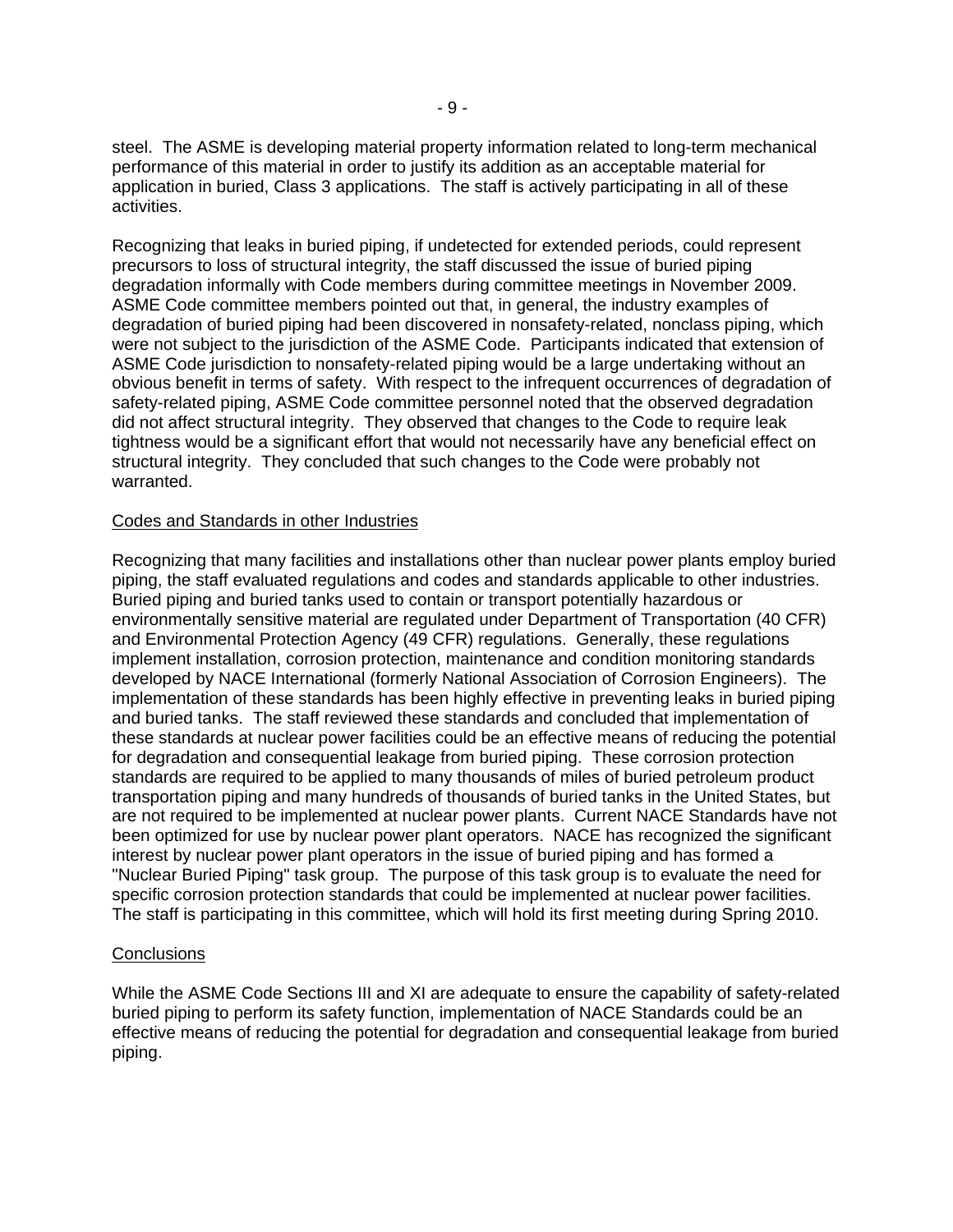steel. The ASME is developing material property information related to long-term mechanical performance of this material in order to justify its addition as an acceptable material for application in buried, Class 3 applications. The staff is actively participating in all of these activities.

Recognizing that leaks in buried piping, if undetected for extended periods, could represent precursors to loss of structural integrity, the staff discussed the issue of buried piping degradation informally with Code members during committee meetings in November 2009. ASME Code committee members pointed out that, in general, the industry examples of degradation of buried piping had been discovered in nonsafety-related, nonclass piping, which were not subject to the jurisdiction of the ASME Code. Participants indicated that extension of ASME Code jurisdiction to nonsafety-related piping would be a large undertaking without an obvious benefit in terms of safety. With respect to the infrequent occurrences of degradation of safety-related piping, ASME Code committee personnel noted that the observed degradation did not affect structural integrity. They observed that changes to the Code to require leak tightness would be a significant effort that would not necessarily have any beneficial effect on structural integrity. They concluded that such changes to the Code were probably not warranted.

#### Codes and Standards in other Industries

Recognizing that many facilities and installations other than nuclear power plants employ buried piping, the staff evaluated regulations and codes and standards applicable to other industries. Buried piping and buried tanks used to contain or transport potentially hazardous or environmentally sensitive material are regulated under Department of Transportation (40 CFR) and Environmental Protection Agency (49 CFR) regulations. Generally, these regulations implement installation, corrosion protection, maintenance and condition monitoring standards developed by NACE International (formerly National Association of Corrosion Engineers). The implementation of these standards has been highly effective in preventing leaks in buried piping and buried tanks. The staff reviewed these standards and concluded that implementation of these standards at nuclear power facilities could be an effective means of reducing the potential for degradation and consequential leakage from buried piping. These corrosion protection standards are required to be applied to many thousands of miles of buried petroleum product transportation piping and many hundreds of thousands of buried tanks in the United States, but are not required to be implemented at nuclear power plants. Current NACE Standards have not been optimized for use by nuclear power plant operators. NACE has recognized the significant interest by nuclear power plant operators in the issue of buried piping and has formed a "Nuclear Buried Piping" task group. The purpose of this task group is to evaluate the need for specific corrosion protection standards that could be implemented at nuclear power facilities. The staff is participating in this committee, which will hold its first meeting during Spring 2010.

#### **Conclusions**

While the ASME Code Sections III and XI are adequate to ensure the capability of safety-related buried piping to perform its safety function, implementation of NACE Standards could be an effective means of reducing the potential for degradation and consequential leakage from buried piping.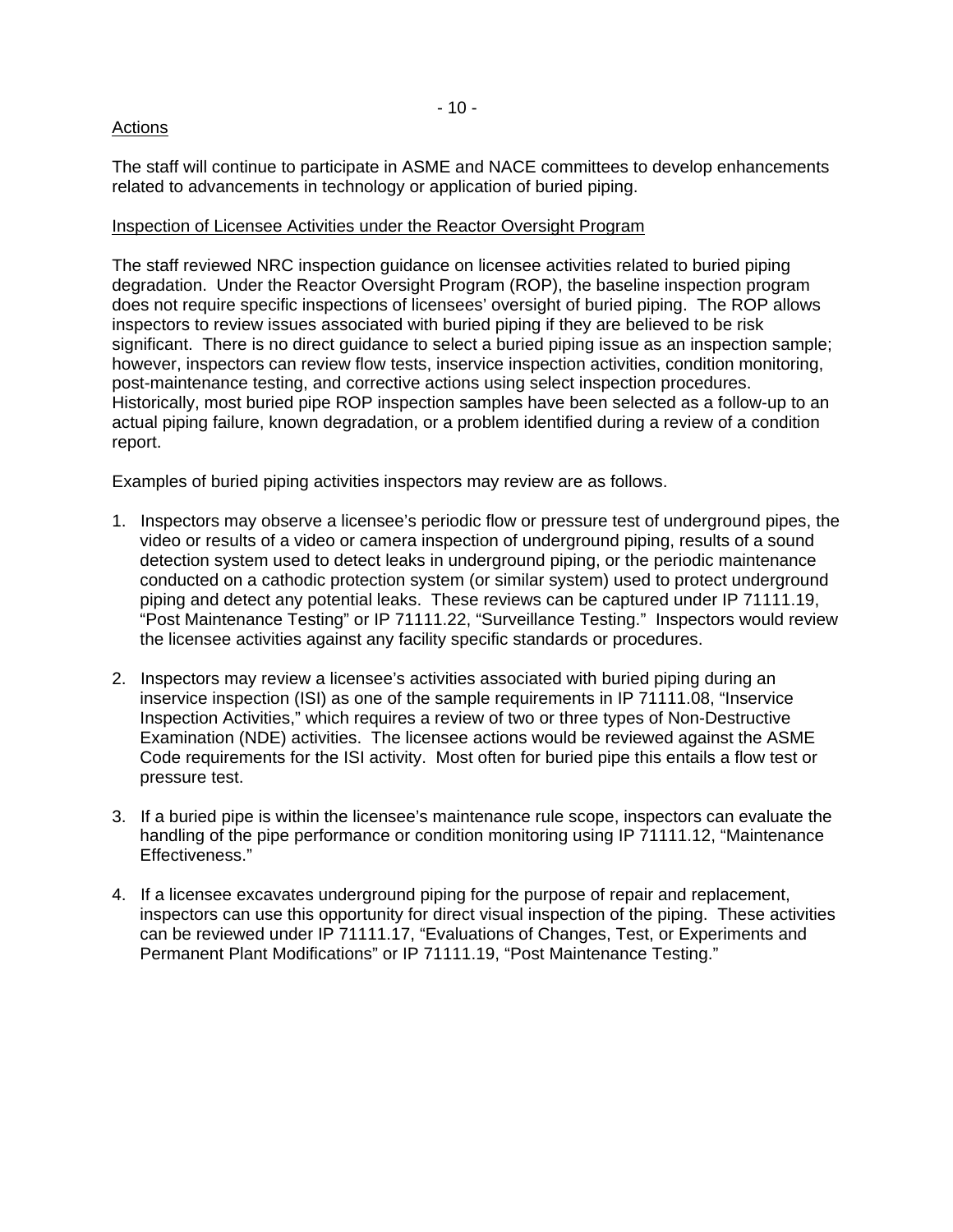# Actions

The staff will continue to participate in ASME and NACE committees to develop enhancements related to advancements in technology or application of buried piping.

# Inspection of Licensee Activities under the Reactor Oversight Program

The staff reviewed NRC inspection guidance on licensee activities related to buried piping degradation. Under the Reactor Oversight Program (ROP), the baseline inspection program does not require specific inspections of licensees' oversight of buried piping. The ROP allows inspectors to review issues associated with buried piping if they are believed to be risk significant. There is no direct guidance to select a buried piping issue as an inspection sample; however, inspectors can review flow tests, inservice inspection activities, condition monitoring, post-maintenance testing, and corrective actions using select inspection procedures. Historically, most buried pipe ROP inspection samples have been selected as a follow-up to an actual piping failure, known degradation, or a problem identified during a review of a condition report.

Examples of buried piping activities inspectors may review are as follows.

- 1. Inspectors may observe a licensee's periodic flow or pressure test of underground pipes, the video or results of a video or camera inspection of underground piping, results of a sound detection system used to detect leaks in underground piping, or the periodic maintenance conducted on a cathodic protection system (or similar system) used to protect underground piping and detect any potential leaks. These reviews can be captured under IP 71111.19, "Post Maintenance Testing" or IP 71111.22, "Surveillance Testing." Inspectors would review the licensee activities against any facility specific standards or procedures.
- 2. Inspectors may review a licensee's activities associated with buried piping during an inservice inspection (ISI) as one of the sample requirements in [IP 71111.08](http://adamswebsearch.nrc.gov/idmws/ViewDocByAccession.asp?AccessionNumber=ML083370044), "Inservice Inspection Activities," which requires a review of two or three types of Non-Destructive Examination (NDE) activities. The licensee actions would be reviewed against the ASME Code requirements for the ISI activity. Most often for buried pipe this entails a flow test or pressure test.
- 3. If a buried pipe is within the licensee's maintenance rule scope, inspectors can evaluate the handling of the pipe performance or condition monitoring using [IP 71111.12,](http://adamswebsearch2.nrc.gov/idmws/doccontent.dll?library=PU_ADAMS%5ePBNTAD01&ID=080350275) "Maintenance Effectiveness."
- 4. If a licensee excavates underground piping for the purpose of repair and replacement, inspectors can use this opportunity for direct visual inspection of the piping. These activities can be reviewed under [IP 71111.17,](http://adamswebsearch.nrc.gov/idmws/ViewDocByAccession.asp?AccessionNumber=ML082670321) "Evaluations of Changes, Test, or Experiments and Permanent Plant Modifications" or [IP 71111.19](http://www.nrc.gov/reading-rm/doc-collections/insp-manual/inspection-procedure/ip7111119.pdf), "Post Maintenance Testing."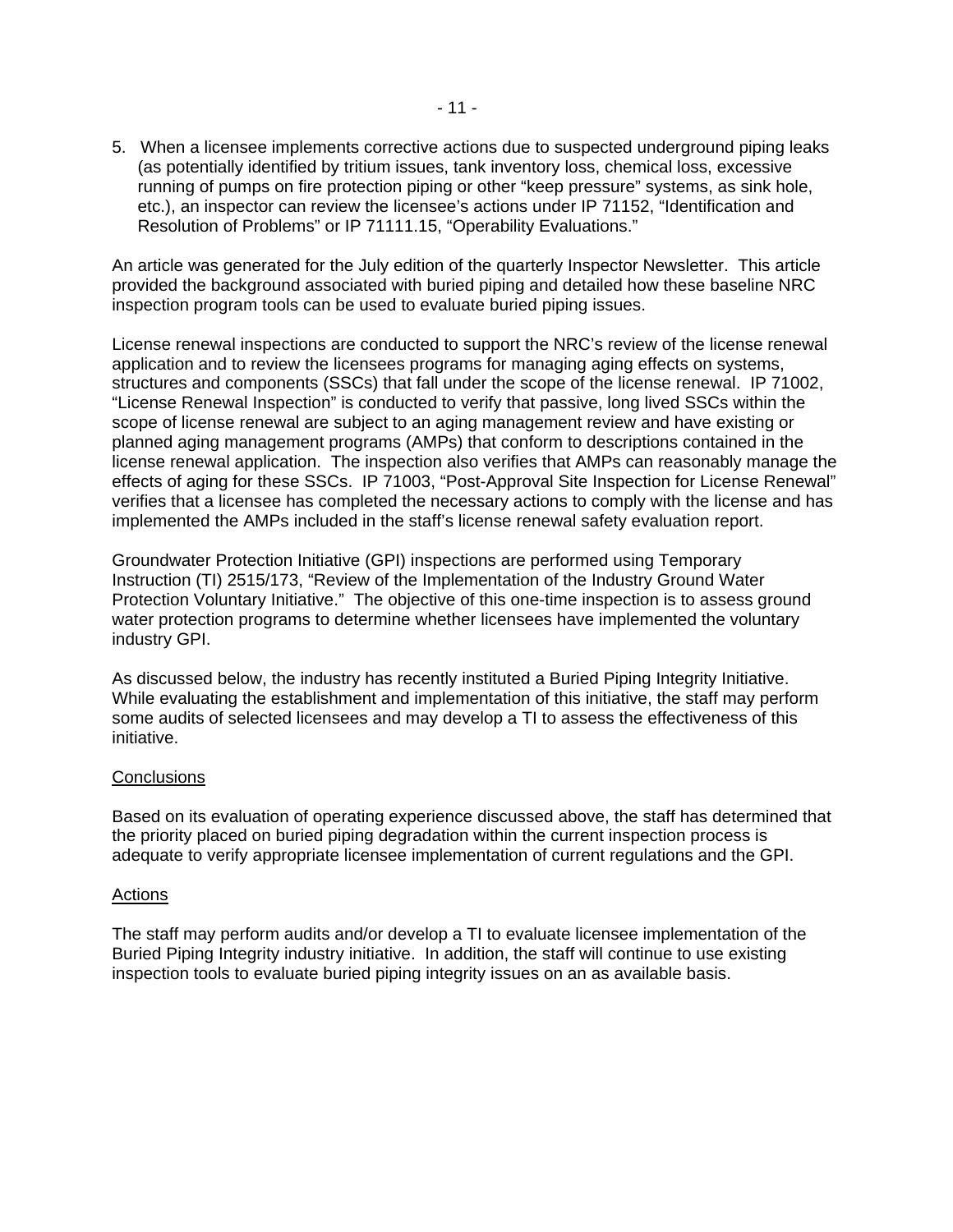5. When a licensee implements corrective actions due to suspected underground piping leaks (as potentially identified by tritium issues, tank inventory loss, chemical loss, excessive running of pumps on fire protection piping or other "keep pressure" systems, as sink hole, etc.), an inspector can review the licensee's actions under [IP 71152](http://adamswebsearch.nrc.gov/idmws/ViewDocByAccession.asp?AccessionNumber=ML073540265), "Identification and Resolution of Problems" or [IP 71111.15](http://adamswebsearch.nrc.gov/idmws/ViewDocByAccession.asp?AccessionNumber=ML073050448), "Operability Evaluations."

An article was generated for the July edition of the quarterly Inspector Newsletter. This article provided the background associated with buried piping and detailed how these baseline NRC inspection program tools can be used to evaluate buried piping issues.

License renewal inspections are conducted to support the NRC's review of the license renewal application and to review the licensees programs for managing aging effects on systems, structures and components (SSCs) that fall under the scope of the license renewal. [IP 71002](http://www.nrc.gov/reading-rm/doc-collections/insp-manual/inspection-procedure/ip71002.pdf), "License Renewal Inspection" is conducted to verify that passive, long lived SSCs within the scope of license renewal are subject to an aging management review and have existing or planned aging management programs (AMPs) that conform to descriptions contained in the license renewal application. The inspection also verifies that AMPs can reasonably manage the effects of aging for these SSCs. [IP 71003,](http://adamswebsearch2.nrc.gov/idmws/doccontent.dll?library=PU_ADAMS%5ePBNTAD01&ID=083080266) "Post-Approval Site Inspection for License Renewal" verifies that a licensee has completed the necessary actions to comply with the license and has implemented the AMPs included in the staff's license renewal safety evaluation report.

Groundwater Protection Initiative (GPI) inspections are performed using Temporary Instruction [\(TI\) 2515/173,](http://adamswebsearch2.nrc.gov/idmws/doccontent.dll?library=PU_ADAMS%5ePBNTAD01&ID=083080274) "Review of the Implementation of the Industry Ground Water Protection Voluntary Initiative." The objective of this one-time inspection is to assess ground water protection programs to determine whether licensees have implemented the voluntary industry GPI.

As discussed below, the industry has recently instituted a Buried Piping Integrity Initiative. While evaluating the establishment and implementation of this initiative, the staff may perform some audits of selected licensees and may develop a TI to assess the effectiveness of this initiative.

## **Conclusions**

Based on its evaluation of operating experience discussed above, the staff has determined that the priority placed on buried piping degradation within the current inspection process is adequate to verify appropriate licensee implementation of current regulations and the GPI.

#### Actions

The staff may perform audits and/or develop a TI to evaluate licensee implementation of the Buried Piping Integrity industry initiative. In addition, the staff will continue to use existing inspection tools to evaluate buried piping integrity issues on an as available basis.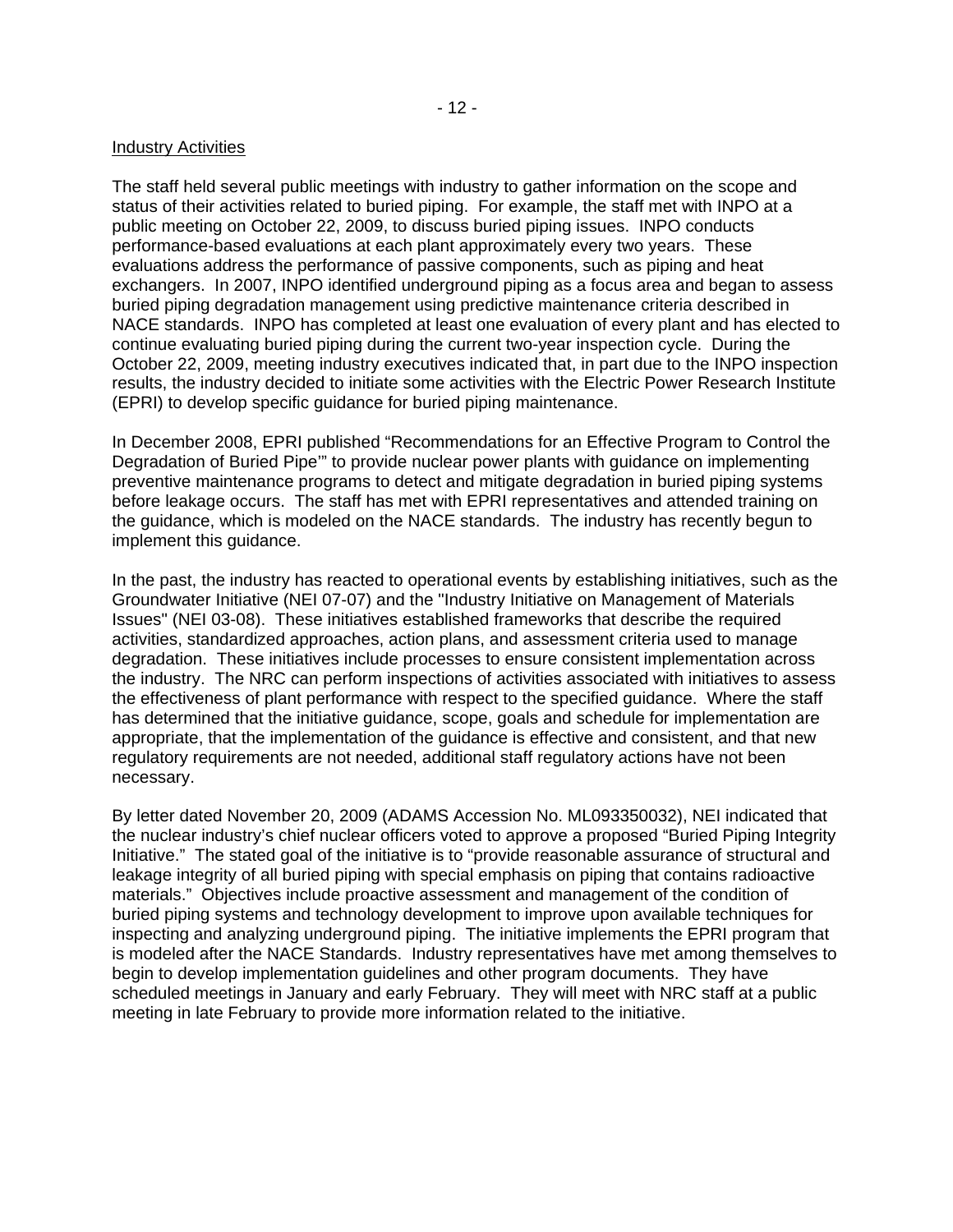#### Industry Activities

The staff held several public meetings with industry to gather information on the scope and status of their activities related to buried piping. For example, the staff met with INPO at a public meeting on October 22, 2009, to discuss buried piping issues. INPO conducts performance-based evaluations at each plant approximately every two years. These evaluations address the performance of passive components, such as piping and heat exchangers. In 2007, INPO identified underground piping as a focus area and began to assess buried piping degradation management using predictive maintenance criteria described in NACE standards. INPO has completed at least one evaluation of every plant and has elected to continue evaluating buried piping during the current two-year inspection cycle. During the October 22, 2009, meeting industry executives indicated that, in part due to the INPO inspection results, the industry decided to initiate some activities with the Electric Power Research Institute (EPRI) to develop specific guidance for buried piping maintenance.

In December 2008, EPRI published "Recommendations for an Effective Program to Control the Degradation of Buried Pipe'" to provide nuclear power plants with guidance on implementing preventive maintenance programs to detect and mitigate degradation in buried piping systems before leakage occurs. The staff has met with EPRI representatives and attended training on the guidance, which is modeled on the NACE standards. The industry has recently begun to implement this guidance.

In the past, the industry has reacted to operational events by establishing initiatives, such as the Groundwater Initiative (NEI 07-07) and the "Industry Initiative on Management of Materials Issues" (NEI 03-08). These initiatives established frameworks that describe the required activities, standardized approaches, action plans, and assessment criteria used to manage degradation. These initiatives include processes to ensure consistent implementation across the industry. The NRC can perform inspections of activities associated with initiatives to assess the effectiveness of plant performance with respect to the specified guidance. Where the staff has determined that the initiative guidance, scope, goals and schedule for implementation are appropriate, that the implementation of the guidance is effective and consistent, and that new regulatory requirements are not needed, additional staff regulatory actions have not been necessary.

By letter dated November 20, 2009 (ADAMS Accession No. ML093350032), NEI indicated that the nuclear industry's chief nuclear officers voted to approve a proposed "Buried Piping Integrity Initiative." The stated goal of the initiative is to "provide reasonable assurance of structural and leakage integrity of all buried piping with special emphasis on piping that contains radioactive materials." Objectives include proactive assessment and management of the condition of buried piping systems and technology development to improve upon available techniques for inspecting and analyzing underground piping. The initiative implements the EPRI program that is modeled after the NACE Standards. Industry representatives have met among themselves to begin to develop implementation guidelines and other program documents. They have scheduled meetings in January and early February. They will meet with NRC staff at a public meeting in late February to provide more information related to the initiative.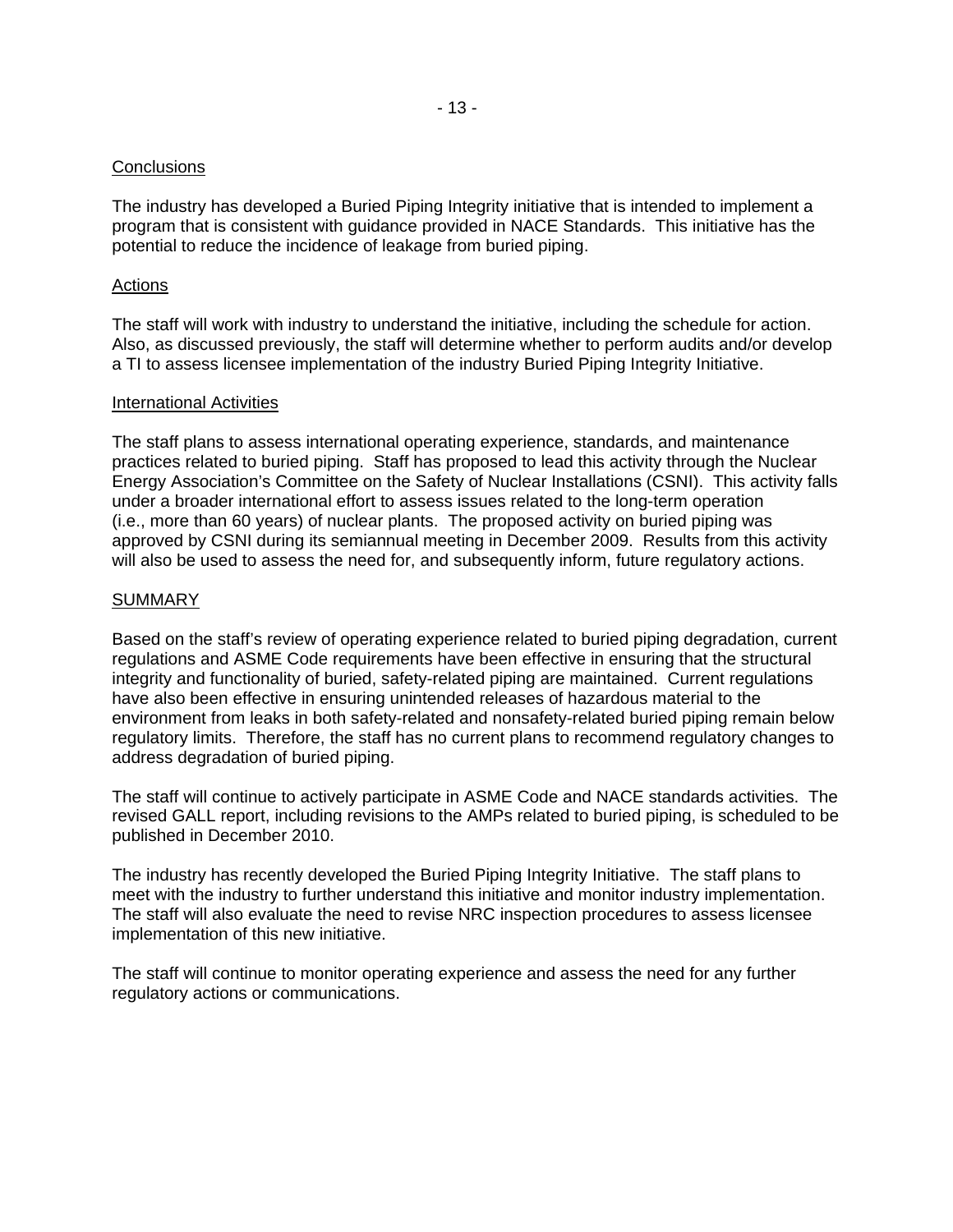## **Conclusions**

The industry has developed a Buried Piping Integrity initiative that is intended to implement a program that is consistent with guidance provided in NACE Standards. This initiative has the potential to reduce the incidence of leakage from buried piping.

#### Actions

The staff will work with industry to understand the initiative, including the schedule for action. Also, as discussed previously, the staff will determine whether to perform audits and/or develop a TI to assess licensee implementation of the industry Buried Piping Integrity Initiative.

#### International Activities

The staff plans to assess international operating experience, standards, and maintenance practices related to buried piping. Staff has proposed to lead this activity through the Nuclear Energy Association's Committee on the Safety of Nuclear Installations (CSNI). This activity falls under a broader international effort to assess issues related to the long-term operation (i.e., more than 60 years) of nuclear plants. The proposed activity on buried piping was approved by CSNI during its semiannual meeting in December 2009. Results from this activity will also be used to assess the need for, and subsequently inform, future regulatory actions.

#### SUMMARY

Based on the staff's review of operating experience related to buried piping degradation, current regulations and ASME Code requirements have been effective in ensuring that the structural integrity and functionality of buried, safety-related piping are maintained. Current regulations have also been effective in ensuring unintended releases of hazardous material to the environment from leaks in both safety-related and nonsafety-related buried piping remain below regulatory limits. Therefore, the staff has no current plans to recommend regulatory changes to address degradation of buried piping.

The staff will continue to actively participate in ASME Code and NACE standards activities. The revised GALL report, including revisions to the AMPs related to buried piping, is scheduled to be published in December 2010.

The industry has recently developed the Buried Piping Integrity Initiative. The staff plans to meet with the industry to further understand this initiative and monitor industry implementation. The staff will also evaluate the need to revise NRC inspection procedures to assess licensee implementation of this new initiative.

The staff will continue to monitor operating experience and assess the need for any further regulatory actions or communications.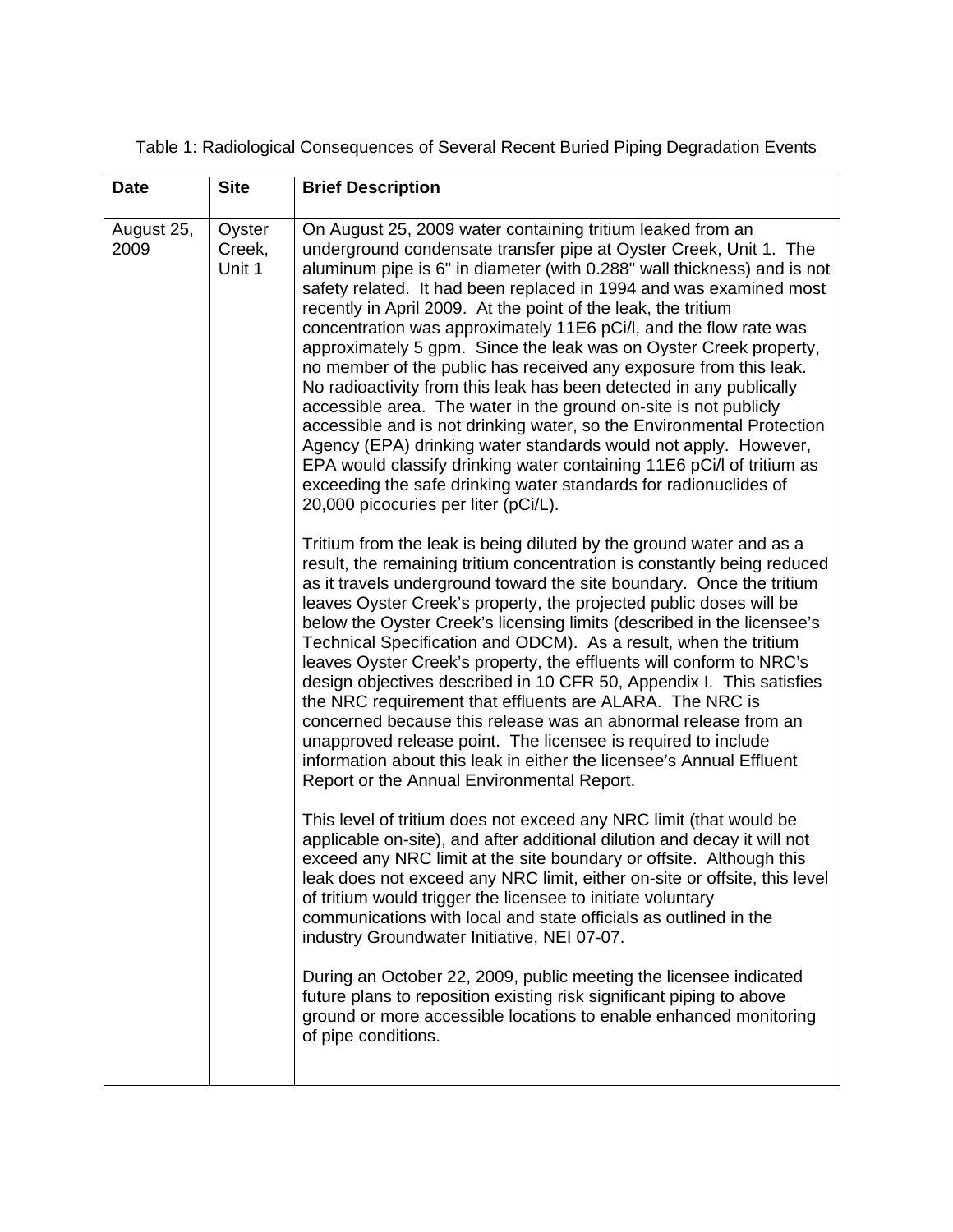| Table 1: Radiological Consequences of Several Recent Buried Piping Degradation Events |
|---------------------------------------------------------------------------------------|
|                                                                                       |

| <b>Date</b>        | <b>Site</b>                | <b>Brief Description</b>                                                                                                                                                                                                                                                                                                                                                                                                                                                                                                                                                                                                                                                                                                                                                                                                                                                                                                                                                                                                                                                                                                                                                                                                                                                                                                                                                                                                                                                                                                                                                                                                                                                                                                                                                                                                                                                                                                                                                                                                                                                                                                                                                                                                                                                                                                                                                                                                                                                                                                                                                                                                                                                                        |
|--------------------|----------------------------|-------------------------------------------------------------------------------------------------------------------------------------------------------------------------------------------------------------------------------------------------------------------------------------------------------------------------------------------------------------------------------------------------------------------------------------------------------------------------------------------------------------------------------------------------------------------------------------------------------------------------------------------------------------------------------------------------------------------------------------------------------------------------------------------------------------------------------------------------------------------------------------------------------------------------------------------------------------------------------------------------------------------------------------------------------------------------------------------------------------------------------------------------------------------------------------------------------------------------------------------------------------------------------------------------------------------------------------------------------------------------------------------------------------------------------------------------------------------------------------------------------------------------------------------------------------------------------------------------------------------------------------------------------------------------------------------------------------------------------------------------------------------------------------------------------------------------------------------------------------------------------------------------------------------------------------------------------------------------------------------------------------------------------------------------------------------------------------------------------------------------------------------------------------------------------------------------------------------------------------------------------------------------------------------------------------------------------------------------------------------------------------------------------------------------------------------------------------------------------------------------------------------------------------------------------------------------------------------------------------------------------------------------------------------------------------------------|
| August 25,<br>2009 | Oyster<br>Creek,<br>Unit 1 | On August 25, 2009 water containing tritium leaked from an<br>underground condensate transfer pipe at Oyster Creek, Unit 1. The<br>aluminum pipe is 6" in diameter (with 0.288" wall thickness) and is not<br>safety related. It had been replaced in 1994 and was examined most<br>recently in April 2009. At the point of the leak, the tritium<br>concentration was approximately 11E6 pCi/l, and the flow rate was<br>approximately 5 gpm. Since the leak was on Oyster Creek property,<br>no member of the public has received any exposure from this leak.<br>No radioactivity from this leak has been detected in any publically<br>accessible area. The water in the ground on-site is not publicly<br>accessible and is not drinking water, so the Environmental Protection<br>Agency (EPA) drinking water standards would not apply. However,<br>EPA would classify drinking water containing 11E6 pCi/l of tritium as<br>exceeding the safe drinking water standards for radionuclides of<br>20,000 picocuries per liter (pCi/L).<br>Tritium from the leak is being diluted by the ground water and as a<br>result, the remaining tritium concentration is constantly being reduced<br>as it travels underground toward the site boundary. Once the tritium<br>leaves Oyster Creek's property, the projected public doses will be<br>below the Oyster Creek's licensing limits (described in the licensee's<br>Technical Specification and ODCM). As a result, when the tritium<br>leaves Oyster Creek's property, the effluents will conform to NRC's<br>design objectives described in 10 CFR 50, Appendix I. This satisfies<br>the NRC requirement that effluents are ALARA. The NRC is<br>concerned because this release was an abnormal release from an<br>unapproved release point. The licensee is required to include<br>information about this leak in either the licensee's Annual Effluent<br>Report or the Annual Environmental Report.<br>This level of tritium does not exceed any NRC limit (that would be<br>applicable on-site), and after additional dilution and decay it will not<br>exceed any NRC limit at the site boundary or offsite. Although this<br>leak does not exceed any NRC limit, either on-site or offsite, this level<br>of tritium would trigger the licensee to initiate voluntary<br>communications with local and state officials as outlined in the<br>industry Groundwater Initiative, NEI 07-07.<br>During an October 22, 2009, public meeting the licensee indicated<br>future plans to reposition existing risk significant piping to above<br>ground or more accessible locations to enable enhanced monitoring<br>of pipe conditions. |
|                    |                            |                                                                                                                                                                                                                                                                                                                                                                                                                                                                                                                                                                                                                                                                                                                                                                                                                                                                                                                                                                                                                                                                                                                                                                                                                                                                                                                                                                                                                                                                                                                                                                                                                                                                                                                                                                                                                                                                                                                                                                                                                                                                                                                                                                                                                                                                                                                                                                                                                                                                                                                                                                                                                                                                                                 |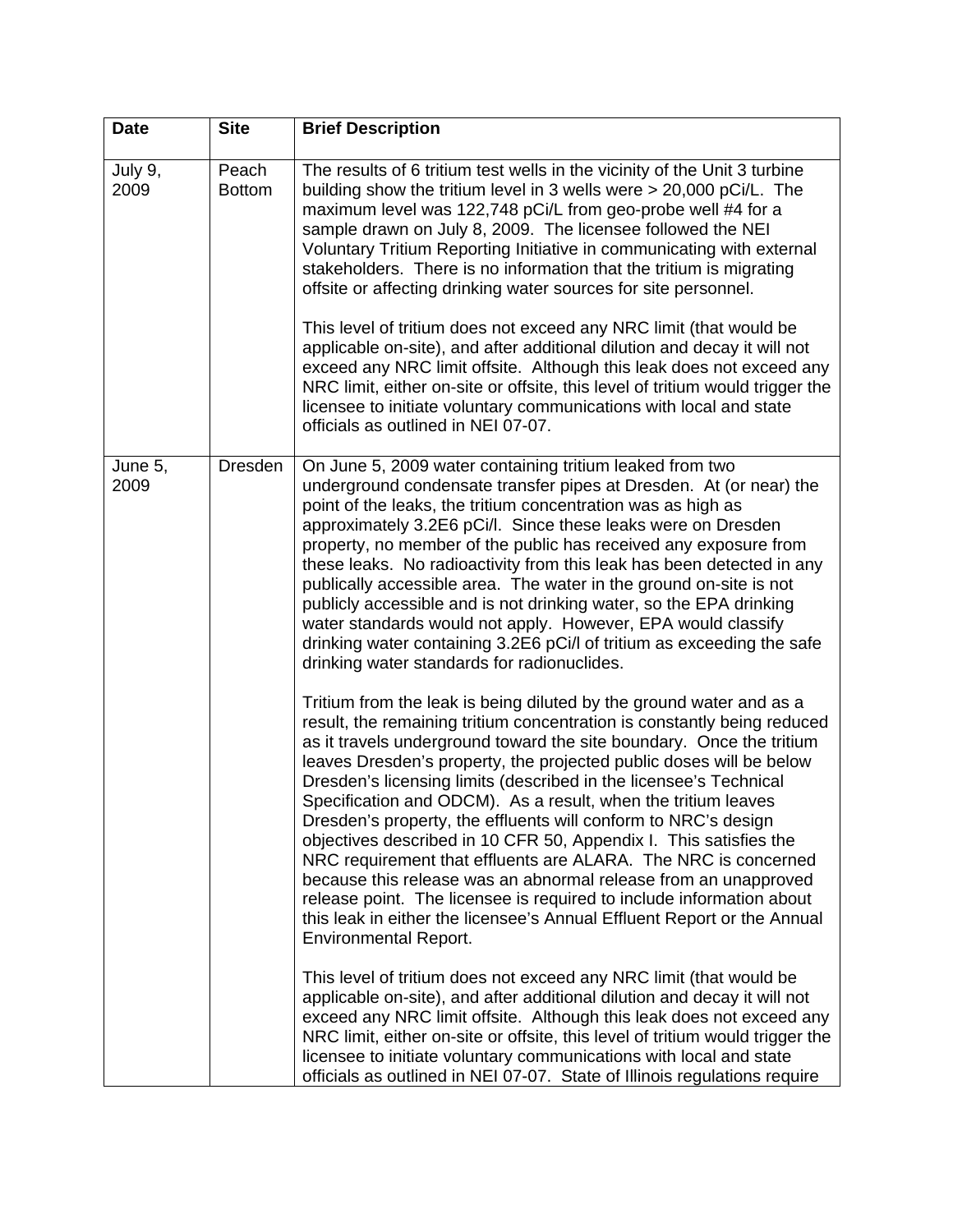| <b>Date</b>     | <b>Site</b>            | <b>Brief Description</b>                                                                                                                                                                                                                                                                                                                                                                                                                                                                                                                                                                                                                                                                                                                                                                                                                                                                                                                                                 |
|-----------------|------------------------|--------------------------------------------------------------------------------------------------------------------------------------------------------------------------------------------------------------------------------------------------------------------------------------------------------------------------------------------------------------------------------------------------------------------------------------------------------------------------------------------------------------------------------------------------------------------------------------------------------------------------------------------------------------------------------------------------------------------------------------------------------------------------------------------------------------------------------------------------------------------------------------------------------------------------------------------------------------------------|
| July 9,<br>2009 | Peach<br><b>Bottom</b> | The results of 6 tritium test wells in the vicinity of the Unit 3 turbine<br>building show the tritium level in 3 wells were $> 20,000$ pCi/L. The<br>maximum level was 122,748 pCi/L from geo-probe well #4 for a<br>sample drawn on July 8, 2009. The licensee followed the NEI<br>Voluntary Tritium Reporting Initiative in communicating with external<br>stakeholders. There is no information that the tritium is migrating<br>offsite or affecting drinking water sources for site personnel.<br>This level of tritium does not exceed any NRC limit (that would be<br>applicable on-site), and after additional dilution and decay it will not<br>exceed any NRC limit offsite. Although this leak does not exceed any<br>NRC limit, either on-site or offsite, this level of tritium would trigger the<br>licensee to initiate voluntary communications with local and state<br>officials as outlined in NEI 07-07.                                             |
| June 5,<br>2009 | Dresden                | On June 5, 2009 water containing tritium leaked from two<br>underground condensate transfer pipes at Dresden. At (or near) the<br>point of the leaks, the tritium concentration was as high as<br>approximately 3.2E6 pCi/l. Since these leaks were on Dresden<br>property, no member of the public has received any exposure from<br>these leaks. No radioactivity from this leak has been detected in any<br>publically accessible area. The water in the ground on-site is not<br>publicly accessible and is not drinking water, so the EPA drinking<br>water standards would not apply. However, EPA would classify<br>drinking water containing 3.2E6 pCi/l of tritium as exceeding the safe<br>drinking water standards for radionuclides.                                                                                                                                                                                                                         |
|                 |                        | Tritium from the leak is being diluted by the ground water and as a<br>result, the remaining tritium concentration is constantly being reduced<br>as it travels underground toward the site boundary. Once the tritium<br>leaves Dresden's property, the projected public doses will be below<br>Dresden's licensing limits (described in the licensee's Technical<br>Specification and ODCM). As a result, when the tritium leaves<br>Dresden's property, the effluents will conform to NRC's design<br>objectives described in 10 CFR 50, Appendix I. This satisfies the<br>NRC requirement that effluents are ALARA. The NRC is concerned<br>because this release was an abnormal release from an unapproved<br>release point. The licensee is required to include information about<br>this leak in either the licensee's Annual Effluent Report or the Annual<br><b>Environmental Report.</b><br>This level of tritium does not exceed any NRC limit (that would be |
|                 |                        | applicable on-site), and after additional dilution and decay it will not<br>exceed any NRC limit offsite. Although this leak does not exceed any<br>NRC limit, either on-site or offsite, this level of tritium would trigger the<br>licensee to initiate voluntary communications with local and state<br>officials as outlined in NEI 07-07. State of Illinois regulations require                                                                                                                                                                                                                                                                                                                                                                                                                                                                                                                                                                                     |